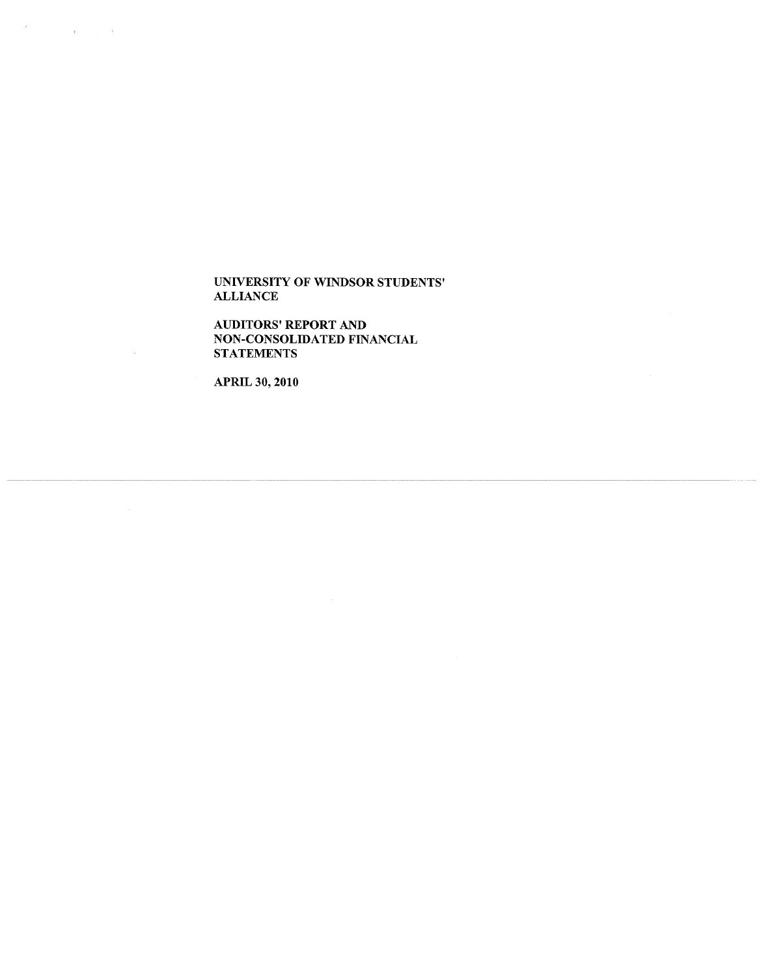AUDITORS' REPORT AND NON-CONSOLIDATED FINANCIAL STATEMENTS

APRIL 30, 2010

 $\mathcal{L}$ 

 $\label{eq:2.1} \mathcal{A} = \left\{ \begin{array}{ll} \mathcal{A} & \mathcal{A} & \mathcal{A} \\ \mathcal{A} & \mathcal{A} & \mathcal{A} \\ \mathcal{A} & \mathcal{A} & \mathcal{A} \end{array} \right.$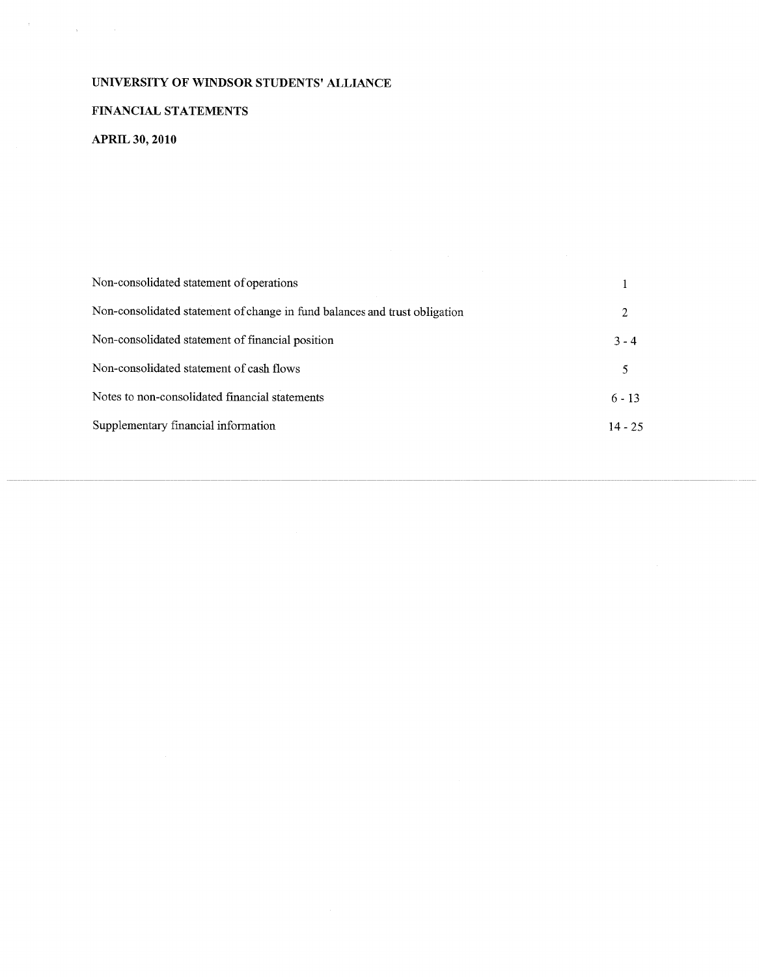# FINANCIAL STATEMENTS

# APRIL **30, 2010**

 $\label{eq:1} \begin{aligned} \mathbf{y} &= \mathbf{y} \cdot \mathbf{y} + \mathbf{y} \cdot \mathbf{y} + \mathbf{y} \cdot \mathbf{y} + \mathbf{y} \cdot \mathbf{y} \\ \mathbf{y} &= \mathbf{y} \cdot \mathbf{y} + \mathbf{y} \cdot \mathbf{y} + \mathbf{y} \cdot \mathbf{y} \end{aligned}$ 

| Non-consolidated statement of operations                                   |           |
|----------------------------------------------------------------------------|-----------|
| Non-consolidated statement of change in fund balances and trust obligation | 2         |
| Non-consolidated statement of financial position                           | $3 - 4$   |
| Non-consolidated statement of cash flows                                   | 5         |
| Notes to non-consolidated financial statements                             | $6 - 13$  |
| Supplementary financial information                                        | $14 - 25$ |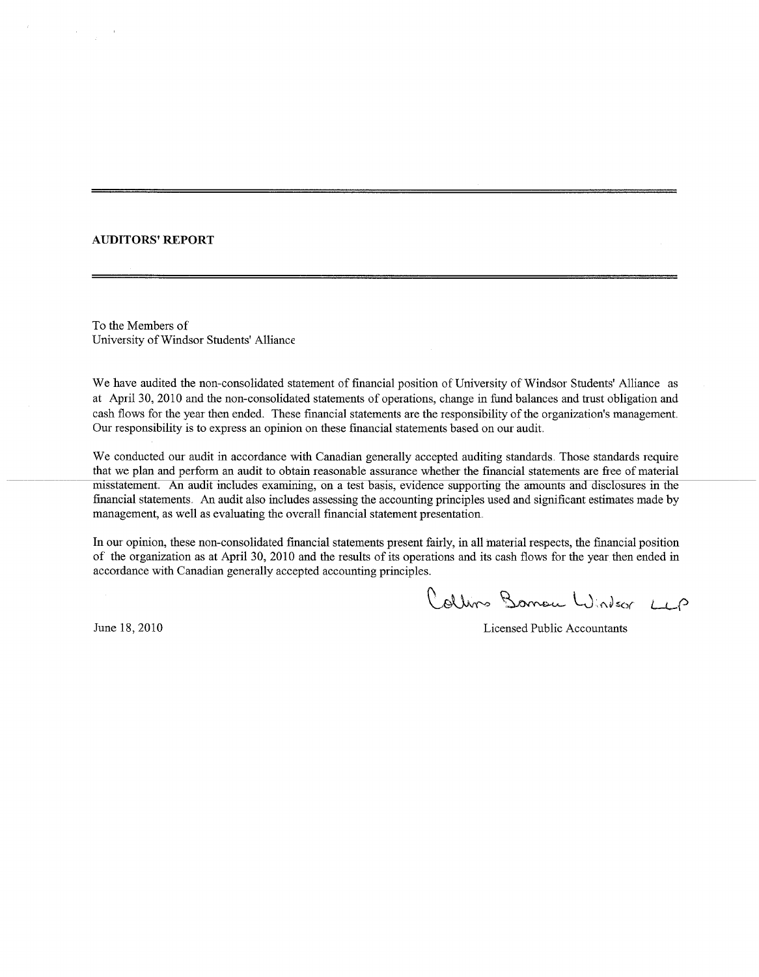### AUDITORS' REPORT

To the Members **of'** University of Windsor Students' Alliance

We have audited the non-consolidated statement of financial position of University of Windsor Students' Alliance as at April 30, 2010 and the non-consolidated statements of operations, change in fund balances and trust obligation and cash flows for the year' then ended. These financial statements are the responsibility of the organization's management. Our responsibility is to express an opinion on these financial statements based on our audit.

We conducted our audit in accordance with Canadian generally accepted auditing standards. Those standards require that we plan and perform an audit to obtain reasonable assurance whether the financial statements are free of material misstatement. An audit includes examining, on a test basis, evidence supporting the amounts and disclosures in the financial statements An audit also includes assessing the accounting principles used and significant estimates made by management, as well as evaluating the overall financial statement presentation.

In our opinion, these non-consolidated financial statements present fairly, in all material respects, the financial position of the organization as at April 30, 2010 and the results of its operations and its cash flows for the year then ended in accordance with Canadian generally accepted accounting principles.

Collins Barrow Windsor LLP

June 18, 2010 Licensed Public Accountants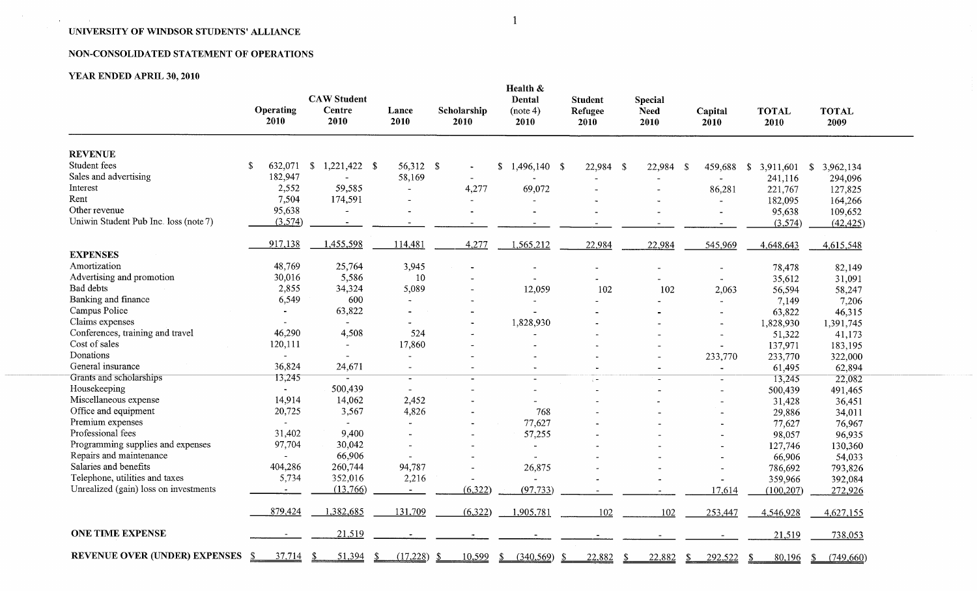# NON-CONSOLIDATED STATEMENT OF OPERATIONS

# YEAR ENDED APRIL **30, 2010**

 $\sim 10^{-1}$ 

 $\mathbf{a}$  , and  $\mathbf{a}$  , and  $\mathbf{a}$ 

|                                       | Operating<br>2010 | <b>CAW Student</b><br><b>Centre</b><br>2010 | Lance<br>2010            | Scholarship<br>2010      | Health &<br>Dental<br>(note 4)<br>2010 | <b>Student</b><br>Refugee<br>2010 | <b>Special</b><br><b>Need</b><br>2010 | Capital<br>2010          | <b>TOTAL</b><br>2010      | <b>TOTAL</b><br>2009      |
|---------------------------------------|-------------------|---------------------------------------------|--------------------------|--------------------------|----------------------------------------|-----------------------------------|---------------------------------------|--------------------------|---------------------------|---------------------------|
| <b>REVENUE</b>                        |                   |                                             |                          |                          |                                        |                                   |                                       |                          |                           |                           |
| Student fees                          | \$<br>632,071     | $\mathbb{S}$<br>1,221,422<br>$\mathbf{s}$   | 56,312 \$                |                          | \$<br>$1,496,140$ \$                   | 22,984 \$                         | 22,984<br>-S                          | 459,688                  | $\mathbb{S}$<br>3,911,601 | 3,962,134<br>\$           |
| Sales and advertising                 | 182,947           |                                             | 58,169                   | $\overline{\phantom{a}}$ |                                        |                                   |                                       |                          | 241,116                   | 294,096                   |
| Interest                              | 2,552             | 59,585                                      |                          | 4,277                    | 69,072                                 |                                   |                                       | 86,281                   | 221,767                   | 127,825                   |
| Rent                                  | 7,504             | 174,591                                     | $\blacksquare$           |                          |                                        |                                   |                                       |                          | 182,095                   | 164,266                   |
| Other revenue                         | 95,638            |                                             |                          |                          |                                        |                                   |                                       | $\ddot{\phantom{1}}$     | 95,638                    | 109,652                   |
| Uniwin Student Pub Inc. loss (note 7) | (3,574)           | $\overline{\phantom{a}}$                    | $\overline{\phantom{a}}$ |                          |                                        |                                   |                                       |                          | (3,574)                   | (42, 425)                 |
|                                       | 917,138           | 1,455,598                                   | 114,481                  | 4,277                    | 1,565,212                              | 22,984                            | 22,984                                | 545,969                  | 4,648,643                 | 4,615,548                 |
| <b>EXPENSES</b>                       |                   |                                             |                          |                          |                                        |                                   |                                       |                          |                           |                           |
| Amortization                          | 48,769            | 25,764                                      | 3,945                    |                          |                                        |                                   |                                       |                          | 78,478                    | 82,149                    |
| Advertising and promotion             | 30,016            | 5,586                                       | 10                       |                          |                                        |                                   |                                       |                          | 35,612                    | 31,091                    |
| Bad debts                             | 2,855             | 34,324                                      | 5,089                    |                          | 12,059                                 | 102                               | 102                                   | 2,063                    | 56,594                    | 58,247                    |
| Banking and finance                   | 6,549             | 600                                         |                          |                          | $\overline{\phantom{a}}$               |                                   |                                       |                          | 7,149                     | 7,206                     |
| Campus Police                         |                   | 63,822                                      |                          |                          | $\blacksquare$                         |                                   |                                       |                          | 63,822                    | 46,315                    |
| Claims expenses                       |                   |                                             |                          |                          | 1,828,930                              |                                   |                                       | $\blacksquare$           | 1,828,930                 | 1,391,745                 |
| Conferences, training and travel      | 46,290            | 4,508                                       | 524                      |                          |                                        |                                   |                                       |                          | 51,322                    | 41,173                    |
| Cost of sales                         | 120,111           | $\blacksquare$                              | 17,860                   |                          |                                        |                                   |                                       | $\overline{\phantom{a}}$ | 137,971                   | 183,195                   |
| Donations                             | $\blacksquare$    | $\blacksquare$                              |                          |                          |                                        |                                   |                                       | 233,770                  | 233,770                   | 322,000                   |
| General insurance                     | 36,824            | 24,671                                      | $\overline{\phantom{a}}$ |                          | $\blacksquare$                         |                                   | $\sim$                                | $\tilde{}$               | 61,495                    | 62,894                    |
| Grants and scholarships               | 13,245            | $\blacksquare$                              | $\blacksquare$           | $\overline{\phantom{0}}$ | $\equiv$                               | $\ddot{r}$                        | $\overline{\phantom{a}}$              | $\overline{\phantom{a}}$ | 13,245                    | 22,082                    |
| Housekeeping                          | $\sim$            | 500,439                                     | $\overline{a}$           |                          | $\overline{a}$                         | $\overline{\phantom{a}}$          |                                       | $\overline{\phantom{0}}$ | 500,439                   | 491,465                   |
| Miscellaneous expense                 | 14,914            | 14,062                                      | 2,452                    |                          |                                        |                                   |                                       |                          | 31,428                    | 36,451                    |
| Office and equipment                  | 20,725            | 3,567                                       | 4,826                    |                          | 768                                    |                                   |                                       | $\overline{\phantom{a}}$ | 29,886                    | 34,011                    |
| Premium expenses                      |                   |                                             |                          |                          | 77,627                                 |                                   |                                       |                          | 77,627                    | 76,967                    |
| Professional fees                     | 31,402            | 9,400                                       |                          |                          | 57,255                                 |                                   |                                       |                          | 98,057                    | 96,935                    |
| Programming supplies and expenses     | 97,704            | 30,042                                      |                          |                          | $\blacksquare$                         |                                   |                                       |                          | 127,746                   | 130,360                   |
| Repairs and maintenance               |                   | 66,906                                      |                          |                          |                                        |                                   |                                       |                          | 66,906                    | 54,033                    |
| Salaries and benefits                 | 404,286           | 260,744                                     | 94,787                   |                          | 26,875                                 |                                   |                                       |                          | 786,692                   | 793,826                   |
| Telephone, utilities and taxes        | 5,734             | 352,016                                     | 2,216                    |                          |                                        |                                   |                                       | $\overline{\phantom{a}}$ | 359,966                   | 392,084                   |
| Unrealized (gain) loss on investments |                   | (13,766)                                    |                          | (6, 322)                 | (97, 733)                              |                                   |                                       | 17,614                   | (100, 207)                | 272,926                   |
|                                       | 879,424           | 1,382,685                                   | 131,709                  | (6,322)                  | 1,905,781                              | 102                               | 102                                   | 253,447                  | 4,546,928                 | 4,627,155                 |
| <b>ONE TIME EXPENSE</b>               |                   | 21,519                                      |                          |                          |                                        |                                   |                                       |                          | 21,519                    | 738,053                   |
| REVENUE OVER (UNDER) EXPENSES         | 37,714<br>-S      | 51,394<br>-S<br>-S                          | (17,228)                 | 10,599<br>-\$            | -S<br>(340, 569)                       | - \$<br>22,882<br>-\$             | 22,882                                | 292,522<br>\$            | 80,196<br>\$              | $\mathbb{S}$<br>(749,660) |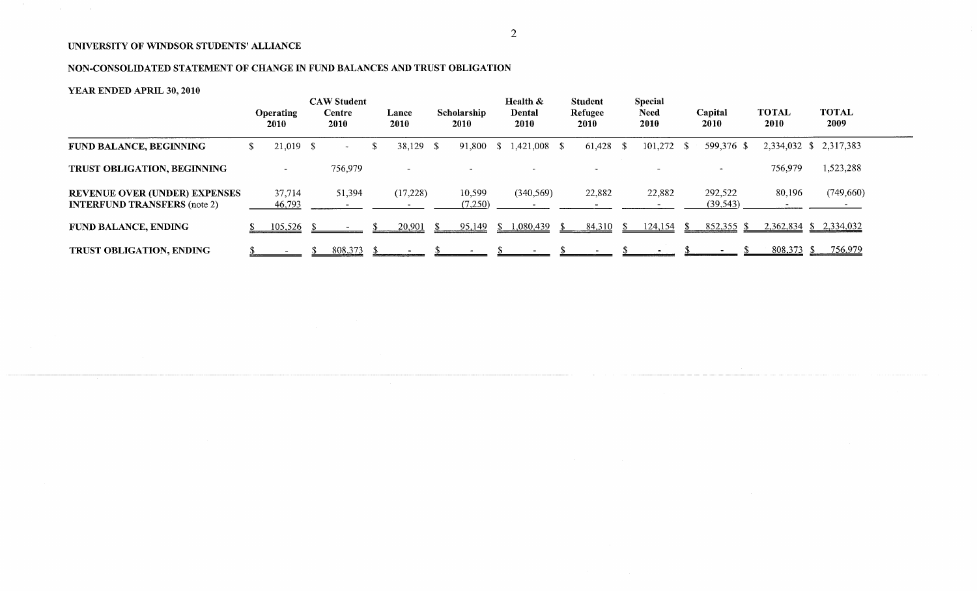# NON-CONSOLIDATED STATEMENT OF CHANGE IN FUND BALANCES AND TRUST OBLIGATION

# YEAR ENDED APRIL **30, 2010**

 $\mathcal{L}_{\text{max}}$  , where  $\mathcal{L}_{\text{max}}$ 

|                                                                             |    | <b>Operating</b><br>2010 | <b>CAW Student</b><br>Centre<br>2010 | Lance<br>2010            | Scholarship<br>2010 |      | Health &<br>Dental<br>2010 | <b>Student</b><br>Refugee<br><b>2010</b> |     | <b>Special</b><br><b>Need</b><br>2010 |     | Capital<br><b>2010</b> | <b>TOTAL</b><br>2010   | <b>TOTAL</b><br>2009 |
|-----------------------------------------------------------------------------|----|--------------------------|--------------------------------------|--------------------------|---------------------|------|----------------------------|------------------------------------------|-----|---------------------------------------|-----|------------------------|------------------------|----------------------|
| FUND BALANCE, BEGINNING                                                     | S. | $21,019$ \$              | $\sim$ $-$                           | \$<br>38,129 \$          | 91,800              | -S   | $1,421,008$ \$             | 61,428                                   | - S | 101,272                               | - S | 599,376 \$             | 2,334,032 \$ 2,317,383 |                      |
| TRUST OBLIGATION, BEGINNING                                                 |    | $\sim$                   | 756,979                              | $\overline{\phantom{0}}$ |                     |      |                            |                                          |     |                                       |     |                        | 756,979                | 1,523,288            |
| <b>REVENUE OVER (UNDER) EXPENSES</b><br><b>INTERFUND TRANSFERS</b> (note 2) |    | 37,714<br>46,793         | 51,394                               | (17,228)                 | 10,599<br>(7,250)   |      | (340, 569)                 | 22,882                                   |     | 22,882                                |     | 292,522<br>(39, 543)   | 80,196                 | (749, 660)           |
| <b>FUND BALANCE, ENDING</b>                                                 |    | 105,526                  |                                      | 20,901                   | 95,149              | - 55 | 1,080,439                  | 84,310                                   |     | 124,154                               |     | $852,355$ \$           | 2,362,834 \$ 2,334,032 |                      |
| TRUST OBLIGATION, ENDING                                                    |    |                          | 808,373                              |                          |                     |      |                            |                                          |     |                                       |     |                        | 808,373                | 756,979              |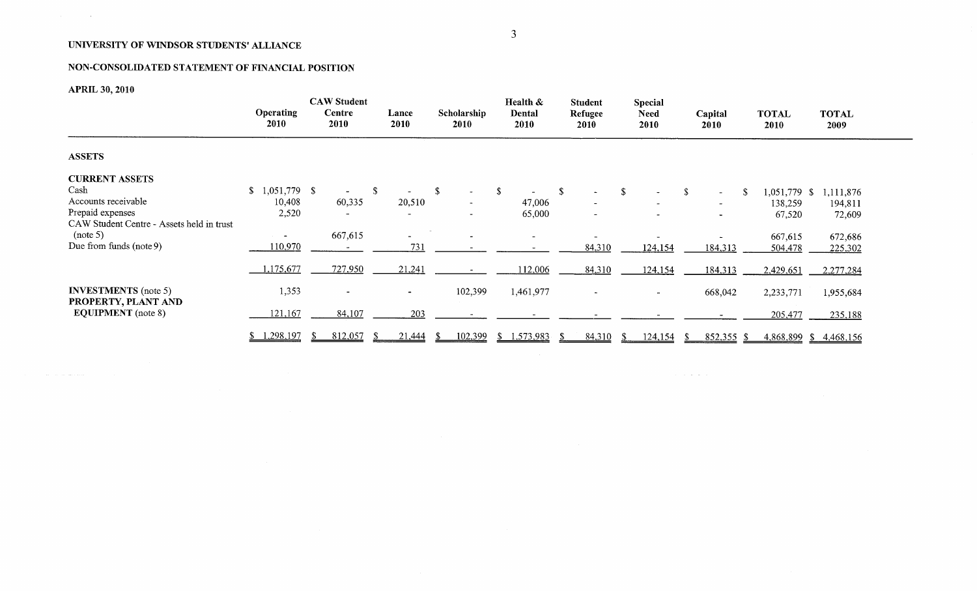# NON-CONSOLIDATED STATEMENT OF FINANCIAL POSITION

**APRIL 30, 2010**

 $\label{eq:2.1} \mathcal{L}(\mathbf{r}) = \mathcal{L}(\mathbf{r}) \mathcal{L}(\mathbf{r}) = \mathcal{L}(\mathbf{r}) \mathcal{L}(\mathbf{r})$ 

المتحاسب المدار

|                                           |                                 | <b>CAW Student</b>       |               | Health &                   |                | <b>Student</b>              | Special             |                          |                      |                       |  |
|-------------------------------------------|---------------------------------|--------------------------|---------------|----------------------------|----------------|-----------------------------|---------------------|--------------------------|----------------------|-----------------------|--|
|                                           | <b>Operating</b><br><b>2010</b> | Centre<br><b>2010</b>    | Lance<br>2010 | Scholarship<br><b>2010</b> | Dental<br>2010 | Refugee<br><b>2010</b>      | <b>Need</b><br>2010 | Capital<br>2010          | <b>TOTAL</b><br>2010 | <b>TOTAL</b><br>2009  |  |
| <b>ASSETS</b>                             |                                 |                          |               |                            |                |                             |                     |                          |                      |                       |  |
| <b>CURRENT ASSETS</b>                     |                                 |                          |               |                            |                |                             |                     |                          |                      |                       |  |
| Cash                                      | 1,051,779 \$<br>\$              |                          | -S            | S.<br>$\sim$               | - \$           | -S<br>$\tilde{\phantom{a}}$ | \$                  | <sup>\$</sup><br>$\sim$  | 1,051,779 \$         | 1,111,876             |  |
| Accounts receivable                       | 10,408                          | 60,335                   | 20,510        | $\blacksquare$             | 47,006         | $\blacksquare$              |                     | $\rightarrow$            | 138,259              | 194,811               |  |
| Prepaid expenses                          | 2,520                           | $\overline{\phantom{0}}$ |               | $\sim$                     | 65,000         | -                           |                     | $\overline{\phantom{a}}$ | 67,520               | 72,609                |  |
| CAW Student Centre - Assets held in trust |                                 |                          |               |                            |                |                             |                     |                          |                      |                       |  |
| (note 5)                                  | $\overline{\phantom{a}}$        | 667,615                  |               |                            |                |                             |                     |                          | 667,615              | 672,686               |  |
| Due from funds (note 9)                   | 110,970                         |                          | 731           |                            |                | 84,310                      | 124,154             | 184,313                  | 504,478              | 225,302               |  |
|                                           |                                 |                          |               |                            |                |                             |                     |                          |                      |                       |  |
|                                           | 1,175,677                       | 727,950                  | 21,241        |                            | 112,006        | 84,310                      | 124,154             | 184,313                  | 2,429,651            | 2,277,284             |  |
|                                           |                                 |                          |               |                            |                |                             |                     |                          |                      |                       |  |
| <b>INVESTMENTS</b> (note 5)               | 1,353                           | $\overline{\phantom{0}}$ | $\sim$        | 102,399                    | 1,461,977      | $\overline{\phantom{0}}$    | $\sim$              | 668,042                  | 2,233,771            | 1,955,684             |  |
| PROPERTY, PLANT AND                       |                                 |                          |               |                            |                |                             |                     |                          |                      |                       |  |
| <b>EQUIPMENT</b> (note 8)                 | 121,167                         | 84,107                   | 203           |                            |                |                             |                     |                          | 205,477              | 235,188               |  |
|                                           |                                 |                          |               |                            |                |                             |                     |                          |                      |                       |  |
|                                           | 1,298,197<br>S.                 | 812,057<br>X.            | 21,444        | 102,399                    | \$1,573,983    | 84,310                      | 124,154             | 852,355                  |                      | 4,868,899 \$4,468,156 |  |

المناصب المناصب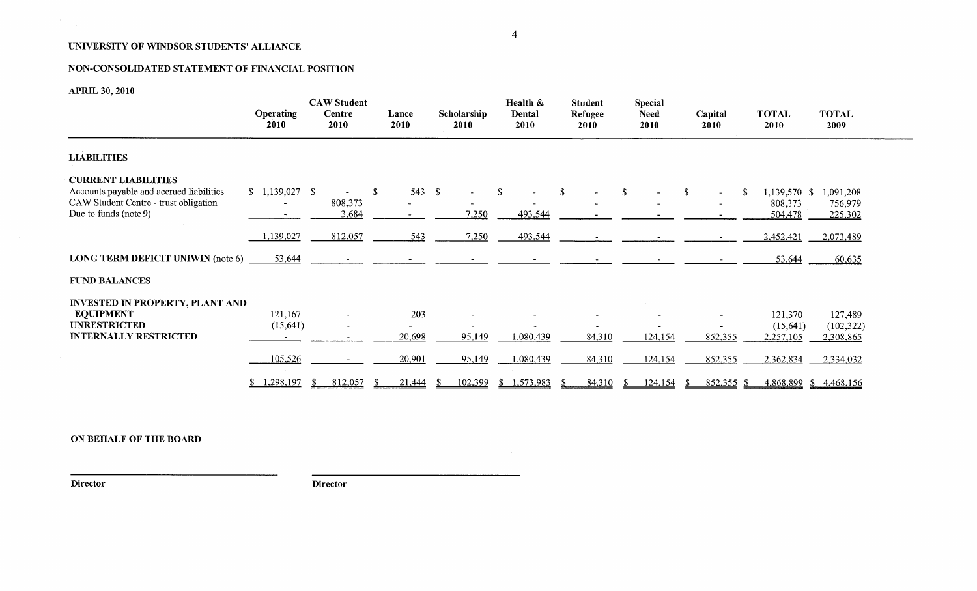# NON-CONSOLIDATED STATEMENT OF FINANCIAL POSITION

APRIL **30, 2010**

 $\mathbf{v}$  and  $\mathbf{v}$  are  $\mathbf{v}$  . In the  $\mathbf{v}$ 

|                                                                                                                                             | <b>Operating</b><br>2010 | <b>CAW Student</b><br>Centre<br>2010 | Lance<br>2010 | Scholarship<br>2010 | Health &<br>Dental<br>2010 | <b>Student</b><br>Refugee<br>2010 | <b>Special</b><br><b>Need</b><br>2010 | Capital<br>2010           | <b>TOTAL</b><br>2010               | <b>TOTAL</b><br>2009               |
|---------------------------------------------------------------------------------------------------------------------------------------------|--------------------------|--------------------------------------|---------------|---------------------|----------------------------|-----------------------------------|---------------------------------------|---------------------------|------------------------------------|------------------------------------|
| <b>LIABILITIES</b>                                                                                                                          |                          |                                      |               |                     |                            |                                   |                                       |                           |                                    |                                    |
| <b>CURRENT LIABILITIES</b><br>Accounts payable and accrued liabilities<br>CAW Student Centre - trust obligation<br>Due to funds (note $9$ ) |                          | 808,373<br>3,684                     | \$<br>543 $$$ | 7,250               | -S<br>493,544              | -S                                | -S                                    | <sup>\$</sup><br>$\sim$ . | 1,139,570 \$<br>808,373<br>504,478 | 1,091,208<br>756,979<br>225,302    |
|                                                                                                                                             | 1,139,027                | 812,057                              | 543           | 7,250               | 493,544                    |                                   |                                       |                           | 2,452,421                          | 2,073,489                          |
| <b>LONG TERM DEFICIT UNIWIN (note 6)</b>                                                                                                    | 53,644                   |                                      |               |                     |                            |                                   |                                       |                           | 53,644                             | 60,635                             |
| <b>FUND BALANCES</b>                                                                                                                        |                          |                                      |               |                     |                            |                                   |                                       |                           |                                    |                                    |
| <b>INVESTED IN PROPERTY, PLANT AND</b><br><b>EQUIPMENT</b><br><b>UNRESTRICTED</b><br><b>INTERNALLY RESTRICTED</b>                           | 121,167<br>(15, 641)     |                                      | 203<br>20,698 | 95,149              | 1,080,439                  | 84,310                            | 124,154                               | 852,355                   | 121,370<br>(15,641)<br>2,257,105   | 127,489<br>(102, 322)<br>2,308,865 |
|                                                                                                                                             | 105,526                  |                                      | 20,901        | 95,149              | 1,080,439                  | 84,310                            | 124,154                               | 852,355                   | 2,362,834                          | 2,334,032                          |
|                                                                                                                                             | 1,298,197                | 812,057                              | 21,444<br>-8  | 102,399             | \$1,573,983                | 84,310                            | 124,154<br>-SS                        | 852,355<br>-S             | - SS                               | 4,868,899 \$4,468,156              |

ON BEHALF OF THE BOARD

**Director Director**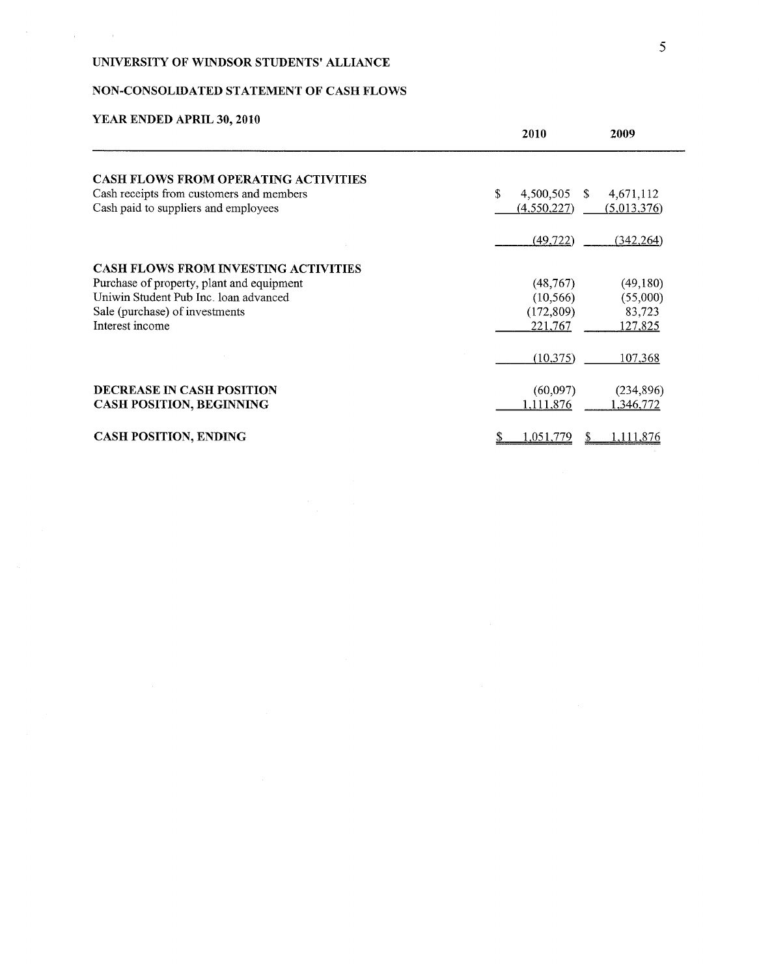# NON-CONSOLIDATED STATEMENT OF CASH FLOWS

# **YEAR ENDED APRIL 30, 2010**

 $\label{eq:1} \frac{1}{\left\| \mathbf{r} \right\|} = \frac{1}{\left\| \mathbf{r} \right\|} = \frac{1}{\left\| \mathbf{r} \right\|} = \frac{1}{\left\| \mathbf{r} \right\|} = \frac{1}{\left\| \mathbf{r} \right\|} = \frac{1}{\left\| \mathbf{r} \right\|}$ 

|                                             | 2010                  | 2009            |
|---------------------------------------------|-----------------------|-----------------|
| <b>CASH FLOWS FROM OPERATING ACTIVITIES</b> |                       |                 |
| Cash receipts from customers and members    | \$<br>4,500,505<br>-S | 4,671,112       |
| Cash paid to suppliers and employees        | (4,550,227)           | (5,013,376)     |
|                                             | (49, 722)             | (342, 264)      |
| <b>CASH FLOWS FROM INVESTING ACTIVITIES</b> |                       |                 |
| Purchase of property, plant and equipment   | (48, 767)             | (49,180)        |
| Uniwin Student Pub Inc. loan advanced       | (10, 566)             | (55,000)        |
| Sale (purchase) of investments              | (172, 809)            | 83,723          |
| Interest income                             | 221,767               | 127,825         |
|                                             | (10,375)              | 107,368         |
| <b>DECREASE IN CASH POSITION</b>            | (60,097)              | (234,896)       |
| <b>CASH POSITION, BEGINNING</b>             | 1,111,876             | 1,346,772       |
| <b>CASH POSITION, ENDING</b>                | 1.051.779<br>\$       | 1.111.876<br>S. |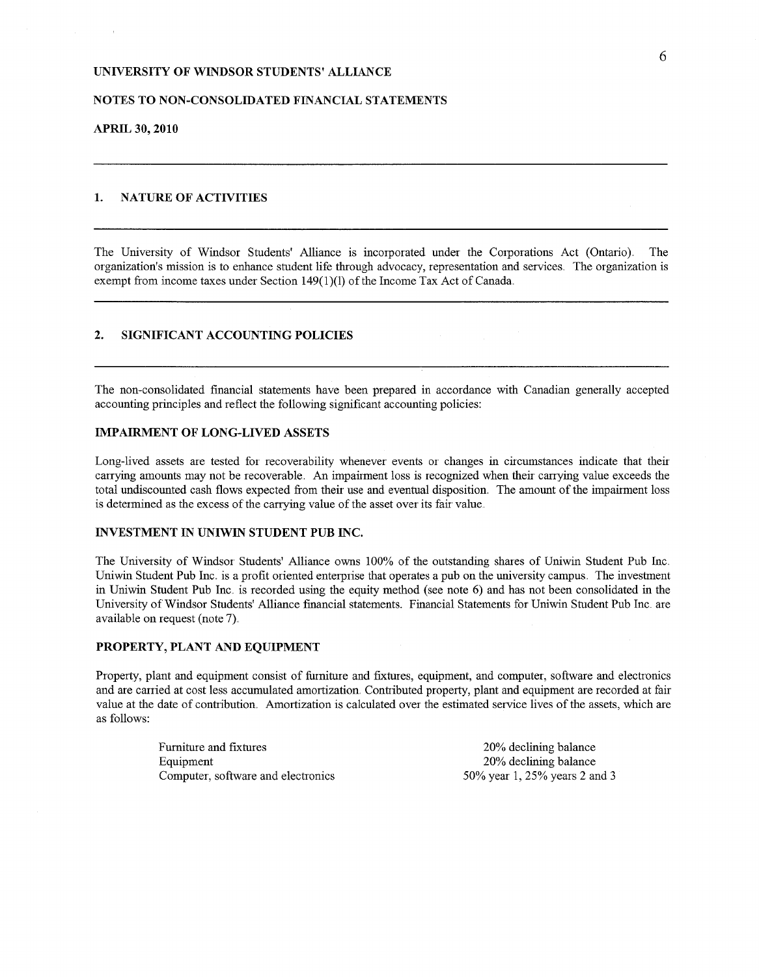### NOTES TO NON-CONSOLIDATED FINANCIAL STATEMENTS

APRIL **30, 2010**

### 1. NATURE OF ACTIVITIES

The University of Windsor Students' Alliance is incorporated under the Corporations Act (Ontario). The organization's mission is to enhance student life through advocacy, representation and services. The organization is exempt from income taxes under Section 149(1)(1) of the Income Tax Act of Canada.

### 2. SIGNIFICANT ACCOUNTING POLICIES

The non-consolidated financial statements have been prepared in accordance with Canadian generally accepted accounting principles and reflect the following significant accounting policies:

#### IMPAIRMENT OF LONG-LIVED ASSETS

Long-lived assets are tested for recoverability whenever events or changes in circumstances indicate that their carrying amounts may not be recoverable. An impairment loss is recognized when their carrying value exceeds the total undiscounted cash flows expected from their use and eventual disposition,, The amount of the impairment loss is determined as the excess of the carrying value of the asset over its fair value.

#### INVESTMENT IN UNIWIN STUDENT PUB INC.

The University of Windsor Students' Alliance owns 100% of the outstanding shares of Uniwin Student Pub Inc. Uniwin Student Pub Inc. is a profit oriented enterprise that operates a pub on the university campus.. The investment in Uniwin Student Pub Inc. is recorded using the equity method (see note  $6$ ) and has not been consolidated in the University of Windsor Students' Alliance financial statements. Financial Statements for Uniwin Student Pub Inc. are available on request (note 7).

### PROPERTY, PLANT AND EQUIPMENT

Property, plant and equipment consist of furniture and fixtures, equipment, and computer, software and electronics and are carried at cost less accumulated amortization. Contributed property, plant and equipment are recorded at fair value at the date of contribution, Amortization is calculated over the estimated service lives of the assets, which are as follows:

> Furniture and fixtures Equipment Computer, software and electronics

20% declining balance 20% declining balance 50% year 1, 25% years 2 and 3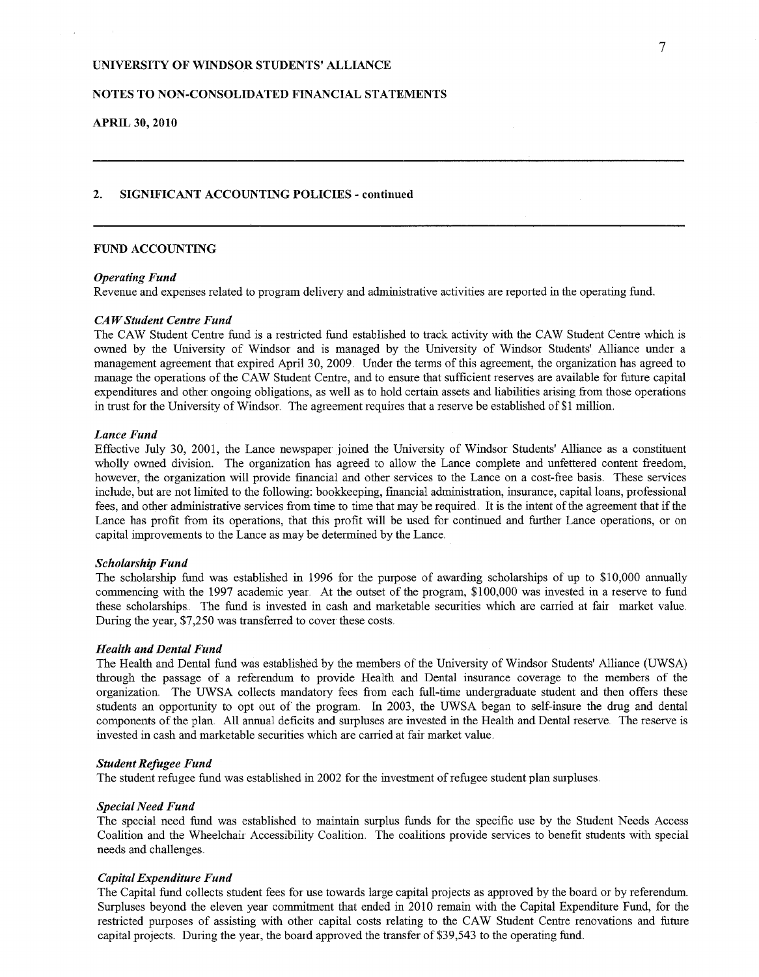### NOTES TO NON-CONSOLIDATED FINANCIAL STATEMENTS

### APRIL 30, 2010

#### 2. SIGNIFICANT ACCOUNTING POLICIES - **continued**

### FUND ACCOUNTING

#### *Operating Fund*

Revenue and expenses related to program delivery and administrative activities are reported in the operating fund.

#### *CA W Student Centre Fund*

The CAW Student Centre fund is a restricted fund established to track activity with the CAW Student Centre which is owned by the University of' Windsor and is managed by the University of Windsor' Students' Alliance under' a management agreement that expired April 30, 2009. Under the terms of this agreement, the organization has agreed to manage the operations of the CAW Student Centre, and to ensure that sufficient reserves are available for future capital expenditures and other ongoing obligations, as well as to hold certain assets and liabilities arising from those operations in trust for the University of Windsor. The agreement requires that a reserve be established of \$1 million.

### *Lance Fund*

Effective July 30, 2001, the Lance newspaper joined the University of Windsor Students' Alliance as a constituent wholly owned division. The organization has agreed to allow the Lance complete and unfettered content freedom, however, the organization will provide financial and other services to the Lance on a cost-free basis. These services include, but are not limited to the following: bookkeeping, financial administration, insurance, capital loans, professional fees, and other administrative services from time to time that may be required. It is the intent of the agreement that if the Lance has profit from its operations, that this profit will be used for continued and further Lance operations, or on capital improvements to the Lance as may be determined by the Lance..

#### *Scholarship Fund*

The scholarship fund was established in 1996 for the purpose of awarding scholarships of up to \$10,000 annually commencing with the 1997 academic year. At the outset of the program, \$100,000 was invested in a reserve to fund these scholarships. The fund is invested in cash and marketable securities which are carried at faix market value. During the year, \$7,250 was transferred to cover these costs.

### *Health and Dental Fund*

The Health and Dental fund was established by the members of' the University of Windsor Students' Alliance (UWSA) through the passage of a referendum to provide Health and Dental insurance coverage to the members of the organization. The UWSA collects mandatory fees from each full-time undergraduate student and then offers these students an opportunity to opt out of the program. In 2003, the UWSA began to self-insure the drug and dental components of the plan. All annual deficits and surpluses are invested in the Health and Dental reserve. The reserve is invested in cash and marketable securities which are carried at fair market value.

### *Student Refugee Fund*

The student refugee fund was established in 2002 for the investment of refugee student plan surpluses.

#### *Special Need Fund*

The special need fund was established to maintain surplus funds for' the specific use by the Student Needs Access Coalition and the Wheelchair Accessibility Coalition, The coalitions provide services to benefit students with special needs and challenges,

#### *Capital Expenditure Fund*

The Capital fund collects student fees for use towards large capital projects as approved by the board or by referendum. Surpluses beyond the eleven year commitment that ended in 2010 remain with the Capital Expenditure Fund, for the restricted purposes of assisting with other capital costs relating to the CAW Student Centre renovations and future capital projects. During the year, the board approved the transfer of \$39,543 to the operating fund.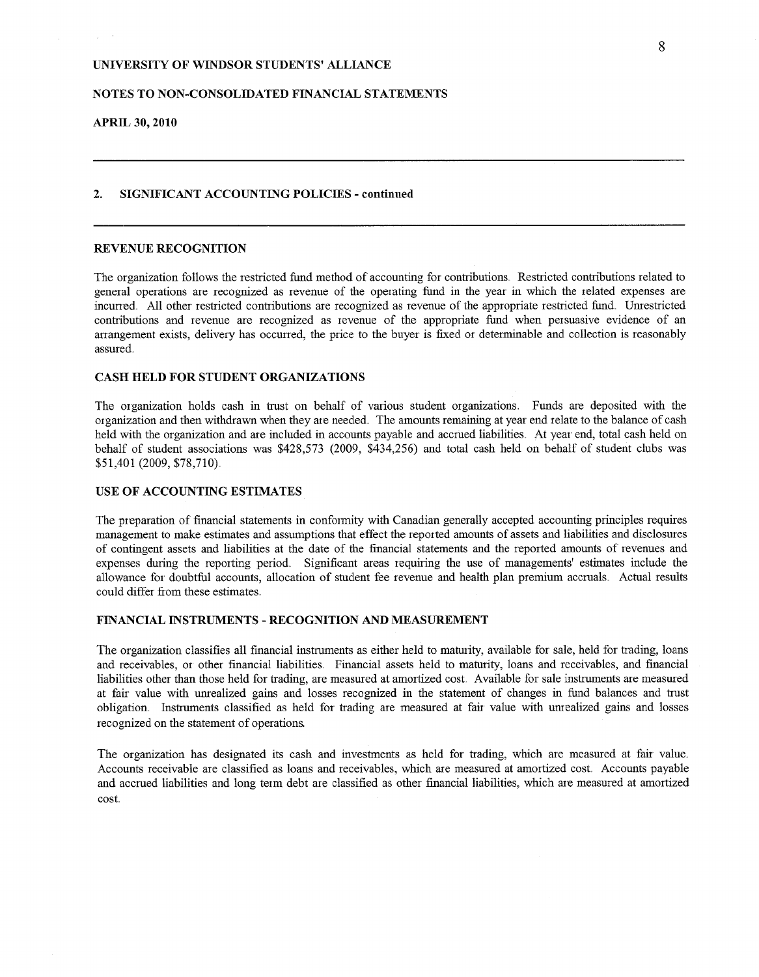### NOTES TO NON-CONSOLIDATED FINANCIAL STATEMENTS

**APRIL 30, 2010**

 $\gamma_{\rm c} = 1/4$ 

#### 2. SIGNIFICANT ACCOUNTING POLICIES - **continued**

### REVENUE RECOGNITION

The organization follows the restricted fund method of accounting for contributions. Restricted contributions related to general operations are recognized as revenue of the operating fund in the year in which the related expenses are incurred. All other restricted contributions are recognized as revenue of the appropriate restricted fund. Unrestricted contributions and revenue are recognized as revenue of the appropriate fund when persuasive evidence of an arrangement exists, delivery has occurred, the price to the buyer is fixed or determinable and collection is reasonably assured,

### **CASH HELD FOR STUDENT ORGANIZATIONS**

The organization holds cash in trust on behalf of various student organizations, Funds are deposited with the mganization and then withdrawn when they are needed, The amounts remaining at year end relate to the balance of cash held with the organization and are included in accounts payable and accrued liabilities, At year end, total cash held on behalf of student associations was \$428,573 (2009, \$434,256) and total cash held on behalf of student clubs was \$51,401 (2009, \$78,710),

### USE OF ACCOUNTING ESTIMATES

The preparation of financial statements in conformity with Canadian generally accepted accounting principles requires management to make estimates and assumptions that effect the reported amounts of assets and liabilities and disclosures of contingent assets and liabilities at the date of the financial statements and the reported amounts of revenues and expenses during the reporting period. Significant areas requiring the use of managements' estimates include the allowance for doubtful accounts, allocation of student fee revenue and health plan premium accruals, Actual results could differ fiom these estimates,.

#### FINANCIAL INSTRUMENTS - RECOGNITION AND MEASUREMENT

The organization classifies all financial instruments as either held to maturity, available for sale, held for trading, loans and receivables, or other financial liabilities. Financial assets held to maturity, loans and receivables, and financial liabilities other than those held for trading, are measured at amortized cost. Available for sale instruments are measured at fair value with um'ealized gains and losses recognized in the statement of changes in fund balances and trust obligation. Instruments classified as held for trading are measured at fair value with unrealized gains and losses recognized on the statement of operations

The organization has designated its cash and investments as held for trading, which are measured at fair value. Accounts receivable are classified as loans and receivables, which are measured at amortized cost. Accounts payable and accrued liabilities and long term debt are classified as other financial liabilities, which are measured at amortized cost.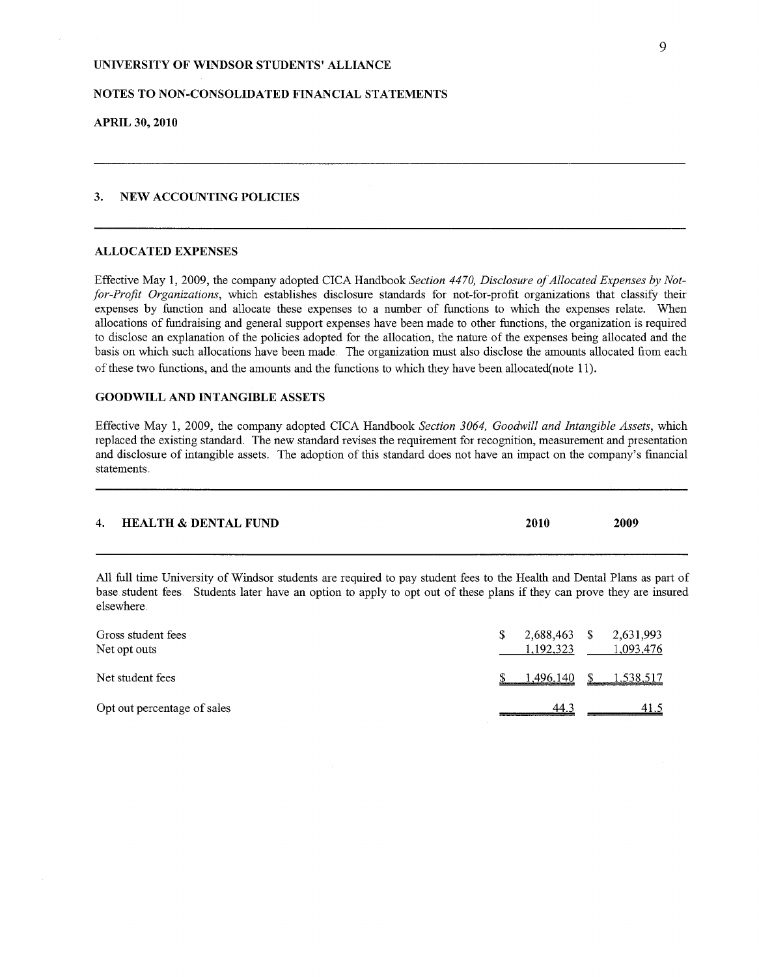### NOTES TO NON-CONSOLIDATED FINANCIAL STATEMENTS

APRIL **30, 2010**

### 3. NEW ACCOUNTING POLICIES

#### ALLOCATED EXPENSES

Effective May 1, 2009, the company adopted CICA Handbook *Section 4470, Disclosure of Allocated Expenses by Not*for-Profit Organizations, which establishes disclosure standards for not-for-profit organizations that classify their expenses by function and allocate these expenses to a number of functions to which the expenses relate. When allocations of fundraising and general support expenses have been made to other functions, the organization is required to disclose an explanation of' the policies adopted for the allocation, the nature of the expenses being allocated and the basis on which such allocations have been made. The organization must also disclose the amounts allocated from each of' these two functions, and the amounts and the functions to which they have been allocated(note 11).

### GOODWILL AND INTANGIBLE ASSETS

Effective May 1, 2009, the company adopted CICA Handbook *Section 3064, Goodwill and Intangible Assets,* which replaced the existing standard. The new standard revises the requirement for recognition, measurement and presentation and disclosure of intangible assets. The adoption of' this standard does not have an impact on the company's financial statements.

| 4. HEALTH & DENTAL FUND | 2010 | 2009 |
|-------------------------|------|------|
|                         |      |      |

All full time University of Windsor students are required to pay student fees to the Health and Dental Plans as part of base student fees. Students later have an option to apply to opt out of these plans if they can prove they are insured elsewhere

| Gross student fees<br>Net opt outs | S. | 2,688,463<br>1.192.323 | -S | 2,631,993<br>1.093.476 |
|------------------------------------|----|------------------------|----|------------------------|
| Net student fees                   |    | 1,496,140              |    | 1,538,517              |
| Opt out percentage of sales        |    | 44.3                   |    | 41.5                   |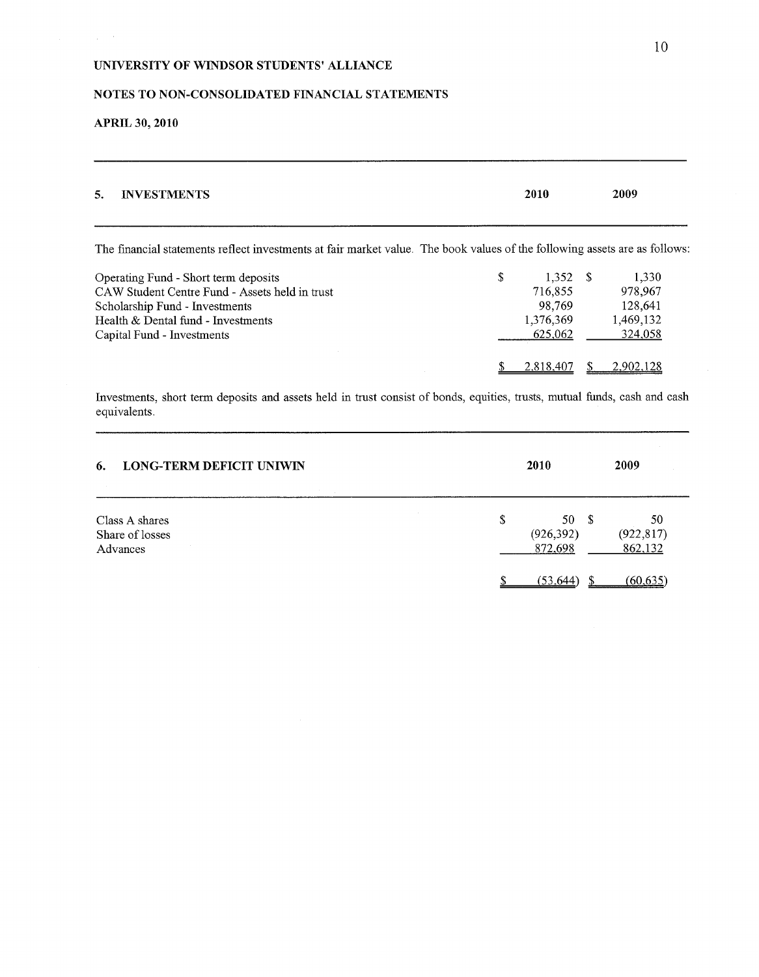# NOTES TO NON-CONSOLIDATED FINANCIAL STATEMENTS

# **APRIL 30, 2010**

 $\frac{1}{2}$  ,  $\frac{1}{2}$ 

| <b>INVESTMENTS</b><br>5.                                                                                                   | 2010          | 2009      |
|----------------------------------------------------------------------------------------------------------------------------|---------------|-----------|
| The financial statements reflect investments at fair market value. The book values of the following assets are as follows: |               |           |
| Operating Fund - Short term deposits                                                                                       | \$<br>1.352 S | 1.330     |
| CAW Student Centre Fund - Assets held in trust                                                                             | 716,855       | 978,967   |
| Scholarship Fund - Investments                                                                                             | 98,769        | 128,641   |
| Health & Dental fund - Investments                                                                                         | 1,376,369     | 1,469,132 |
| Capital Fund - Investments                                                                                                 | 625,062       | 324.058   |
|                                                                                                                            | 2,818,407     | 2.902.128 |

Investments, short term deposits and assets held in trust consist of bonds, equities, trusts, mutual funds, cash and cash equivalents.

| <b>LONG-TERM DEFICIT UNIWIN</b><br>6.         | 2010 |                              | 2009                        |
|-----------------------------------------------|------|------------------------------|-----------------------------|
| Class A shares<br>Share of losses<br>Advances | \$   | 50S<br>(926, 392)<br>872,698 | 50<br>(922, 817)<br>862,132 |
|                                               |      | (53, 644)                    | (60.635                     |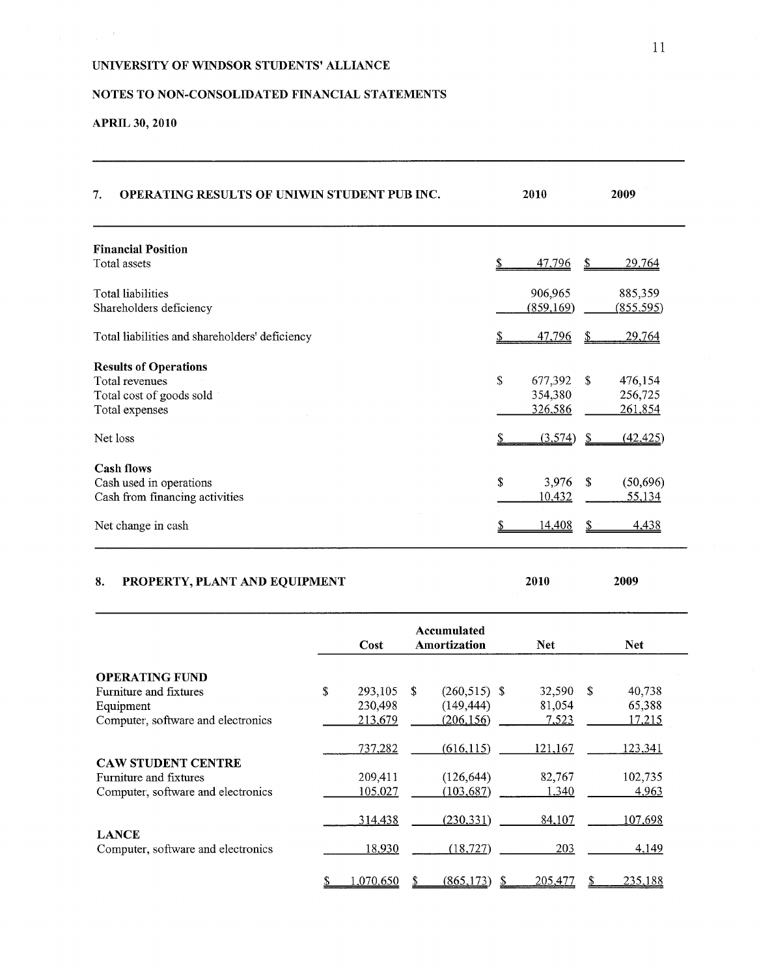# NOTES TO NON-CONSOLIDATED FINANCIAL STATEMENTS

# APRIL **30, 2010**

 $\frac{1}{2} \left( \frac{1}{2} \right)^{2} \left( \frac{1}{2} \right)^{2}$ 

| <b>OPERATING RESULTS OF UNIWIN STUDENT PUB INC.</b><br>7. | 2010         | 2009                       |
|-----------------------------------------------------------|--------------|----------------------------|
| <b>Financial Position</b>                                 |              |                            |
| Total assets                                              | 47,796       | 29,764<br>S                |
| Total liabilities                                         | 906,965      | 885,359                    |
| Shareholders deficiency                                   | (859, 169)   | <u>(855,595)</u>           |
| Total liabilities and shareholders' deficiency            | 47,796       | 29,764<br>S                |
| <b>Results of Operations</b>                              |              |                            |
| Total revenues                                            | S<br>677,392 | 476,154<br>-S              |
| Total cost of goods sold                                  | 354,380      | 256,725                    |
| Total expenses                                            | 326,586      | 261,854                    |
| Net loss                                                  | (3,574)      | (42, 425)<br>S             |
| <b>Cash flows</b>                                         |              |                            |
| Cash used in operations                                   | \$<br>3,976  | <sup>\$</sup><br>(50, 696) |
| Cash from financing activities                            | 10,432       | 55,134                     |
| Net change in cash                                        | 14,408       | 4,438                      |

# 8. PROPERTY, PLANT AND EQUIPMENT **2010 2009**

|                                                    | Cost          |              | Accumulated<br><b>Amortization</b> | <b>Net</b>   | <b>Net</b> |              |
|----------------------------------------------------|---------------|--------------|------------------------------------|--------------|------------|--------------|
| <b>OPERATING FUND</b>                              |               |              |                                    |              |            |              |
| Furniture and fixtures                             | \$<br>293,105 | <sup>S</sup> | $(260,515)$ \$                     | 32,590       | -S         | 40,738       |
| Equipment                                          | 230,498       |              | (149, 444)                         | 81,054       |            | 65,388       |
| Computer, software and electronics                 | 213,679       |              | (206, 156)                         | <u>7,523</u> |            | 17,215       |
|                                                    | 737,282       |              | (616, 115)                         | 121,167      |            | 123,341      |
| <b>CAW STUDENT CENTRE</b>                          |               |              |                                    |              |            |              |
| Furniture and fixtures                             | 209,411       |              | (126, 644)                         | 82,767       |            | 102,735      |
| Computer, software and electronics                 | 105,027       |              | (103, 687)                         | <u>1,340</u> |            | <u>4,963</u> |
|                                                    | 314,438       |              | (230, 331)                         | 84,107       |            | 107,698      |
| <b>LANCE</b><br>Computer, software and electronics | 18,930        |              | (18, 727)                          | 203          |            | 4.149        |
|                                                    | .070.650      |              | (865, 173)                         | 205,477      |            | 235,188      |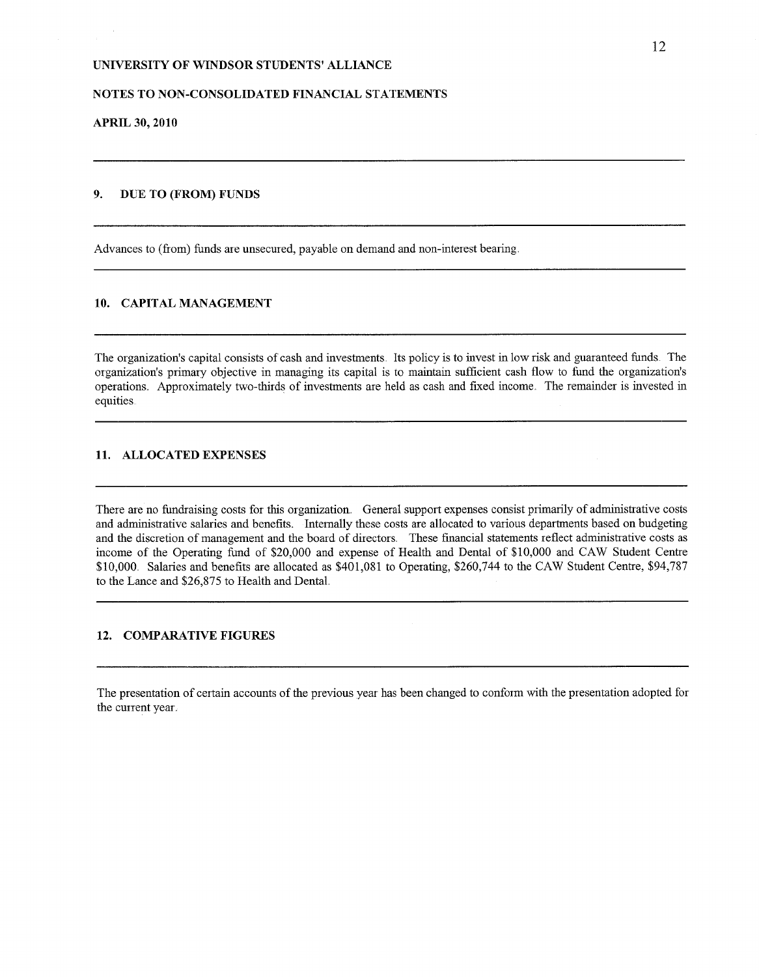#### NOTES TO NON-CONSOLIDATED FINANCIAL STATEMENTS

**APRIL 30, 2010**

### **9. DUE TO (FROM) FUNDS**

Advances to (from) funds are unsecured, payable on demand and non-interest bearing.

#### 10. CAPITAL MANAGEMENT

The organization's capital consists of cash and investments. Its policy is to invest in low risk and guaranteed funds. The organization's primary objective in managing its capital is to maintain sufficient cash flow to fund the organization's operations. Approximately two-thirds of investments are held as cash and fixed income. The remainder is invested in equities

# 11. ALLOCATED EXPENSES

There are no fundraising costs for this organization. General support expenses consist primarily of administrative costs and administrative salaries and benefits. Internally these costs are allocated to various departments based on budgeting and the discretion of management and the board of directors. These financial statements reflect administrative costs as income of the Operating fund of' \$20,000 and expense of Health and Dental of' \$10,000 and CAW Student Centre \$10,000. Salaries and benefits are allocated as \$401,081 to Operating, \$260,744 to the CAW Student Centre, \$94,787 to the Lance and \$26,875 to Health and Dental.

#### 12. COMPARATIVE FIGURES

The presentation of certain accounts of the previous year has been changed to conform with the presentation adopted for the current year.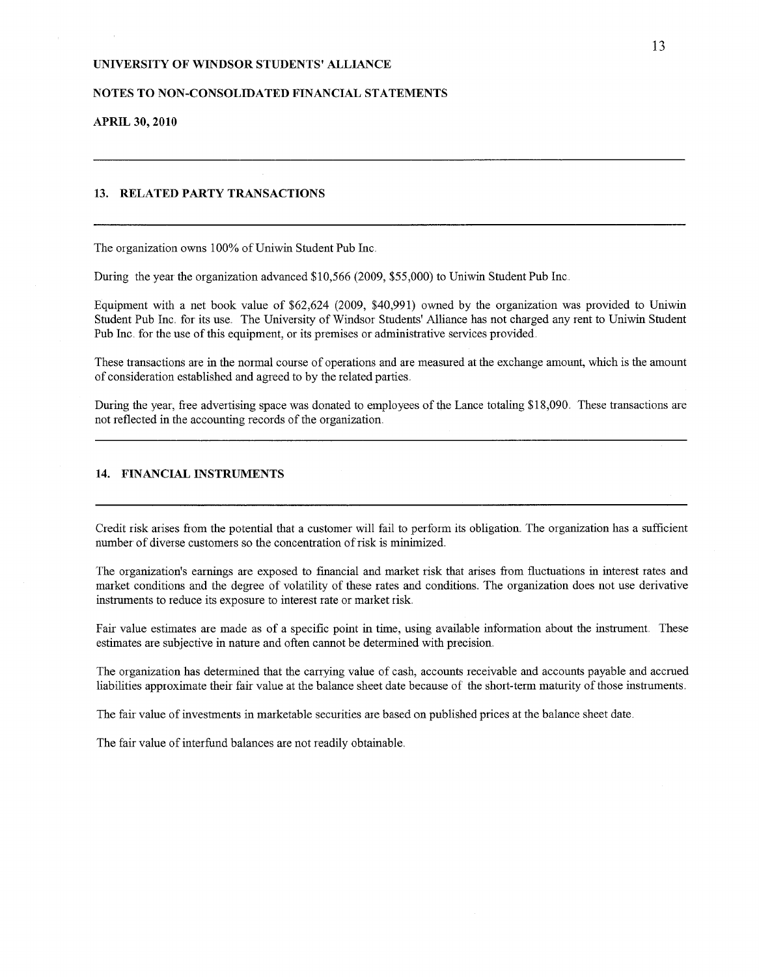### NOTES TO NON-CONSOLIDATED FINANCIAL STATEMENTS

### **APRIL 30, 2010**

### 13. RELATED PARTY TRANSACTIONS

The organization owns 100% of Uniwin Student Pub Inc,

During the year the organization advanced \$10,566 (2009, \$55,000) to Uniwin Student Pub Inc,

Equipment with a net book value of \$62,624 (2009, \$40,991) owned by the organization was provided to Uniwin Student Pub Inc, for its use. The University of Windsor Students' Alliance has not charged any rent to Uniwin Student Pub Inc, for the use of this equipment, or its premises or administrative services provided.

These transactions are in the normal course of operations and are measured at the exchange amount, which is the amount of consideration established and agreed to by the related parties.

During the year, free advertising space was donated to employees of the Lance totaling \$18,090. These transactions are not reflected in the accounting records of the organization

#### 14. FINANCIAL INSTRUMENTS

Credit risk arises from the potential that a customer will fail to perform its obligation. The organization has a sufficient number of diverse customers so the concentration of risk is minimized.

The organization's earnings are exposed to financial and market risk that arises from fluctuations in interest rates and market conditions and the degree of volatility of these rates and conditions. The organization does not use derivative instruments to reduce its exposure to interest rate or market risk.

Fair value estimates are made as of a specific point in time, using available information about the instrument. These estimates are subjective in nature and often cannot be determined with precision.

The organization has determined that the carrying value of cash, accounts receivable and accounts payable and accrued liabilities approximate their fair value at the balance sheet date because of the short-term maturity of those instruments.

The fair value of investments in marketable securities are based on published prices at the balance sheet date.

The fair value of interfund balances are not readily obtainable.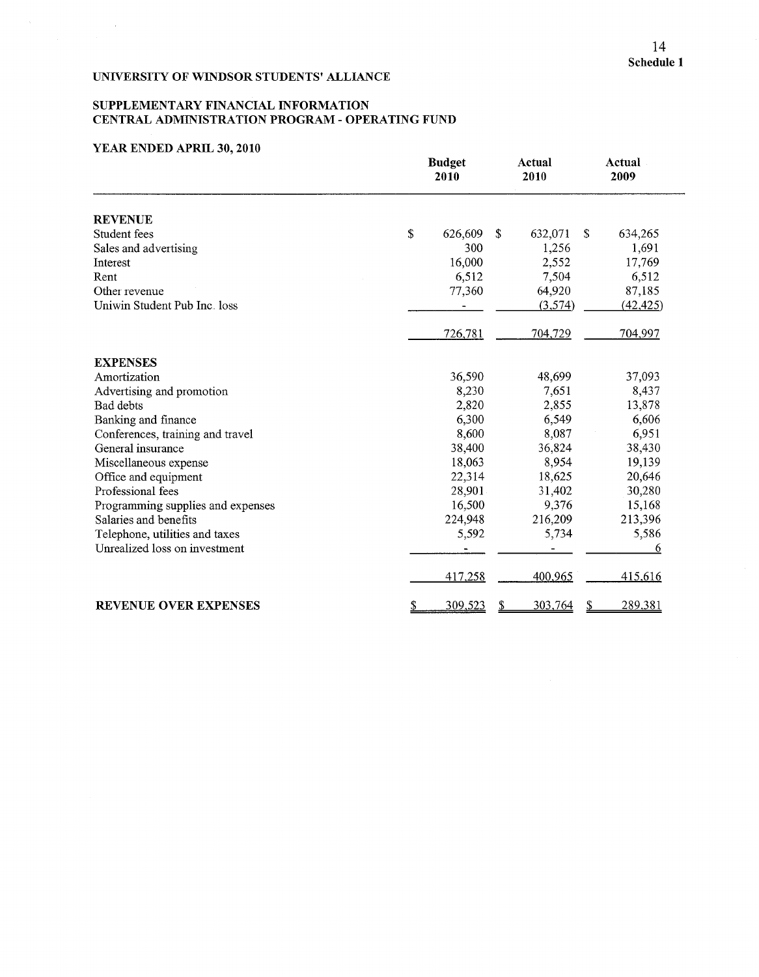### SUPPLEMENTARY FINANCIAL INFORMATION CENTRAL ADMINISTRATION PROGRAM - OPERATING FUND

### YEAR ENDED APRIL **30, 2010**

 $\sim 10^6$ 

|                                   | <b>Budget</b><br>2010 | Actual<br>2010      | Actual<br>2009 |  |
|-----------------------------------|-----------------------|---------------------|----------------|--|
| <b>REVENUE</b>                    |                       |                     |                |  |
| Student fees                      | \$<br>626,609         | \$<br>632,071<br>S. | 634,265        |  |
| Sales and advertising             | 300                   | 1,256               | 1,691          |  |
| Interest                          | 16,000                | 2,552               | 17,769         |  |
| Rent                              | 6,512                 | 7,504               | 6,512          |  |
| Other revenue                     | 77,360                | 64,920              | 87,185         |  |
| Uniwin Student Pub Inc. loss      |                       | (3,574)             | (42, 425)      |  |
|                                   | 726,781               | 704,729             | 704,997        |  |
| <b>EXPENSES</b>                   |                       |                     |                |  |
| Amortization                      | 36,590                | 48,699              | 37,093         |  |
| Advertising and promotion         | 8,230                 | 7,651               | 8,437          |  |
| Bad debts                         | 2,820                 | 2,855               | 13,878         |  |
| Banking and finance               | 6,300                 | 6,549               | 6,606          |  |
| Conferences, training and travel  | 8,600                 | 8,087               | 6,951          |  |
| General insurance                 | 38,400                | 36,824              | 38,430         |  |
| Miscellaneous expense             | 18,063                | 8,954               | 19,139         |  |
| Office and equipment              | 22,314                | 18,625              | 20,646         |  |
| Professional fees                 | 28,901                | 31,402              | 30,280         |  |
| Programming supplies and expenses | 16,500                | 9,376               | 15,168         |  |
| Salaries and benefits             | 224,948               | 216,209             | 213,396        |  |
| Telephone, utilities and taxes    | 5,592                 | 5,734               | 5,586          |  |
| Unrealized loss on investment     |                       |                     | 6              |  |
|                                   | 417,258               | 400,965             | 415,616        |  |
| <b>REVENUE OVER EXPENSES</b>      | 309,523<br>\$         | 303,764<br>2        | 289,381        |  |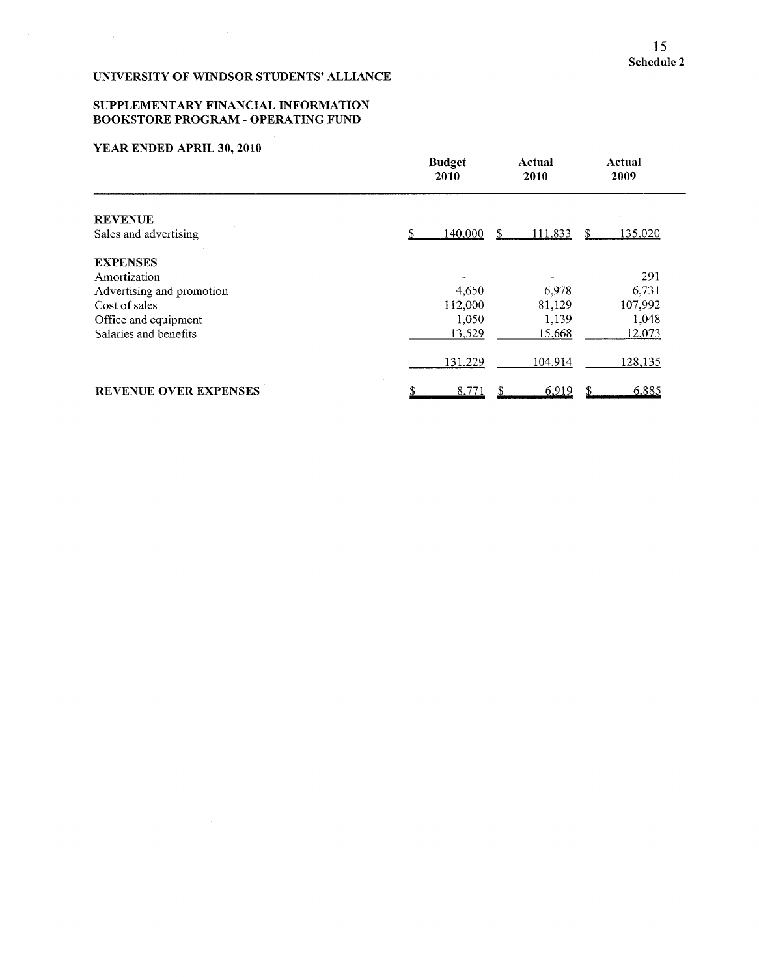### SUPPLEMENTARY FINANCIAL INFORMATION **BOOKSTORE PROGRAM - OPERATING FUND**

### YEAR ENDED APRIL **30, 2010**

|                              | <b>Budget</b><br>2010 | Actual<br>2010 | Actual<br>2009          |
|------------------------------|-----------------------|----------------|-------------------------|
| <b>REVENUE</b>               |                       |                |                         |
| Sales and advertising        | 140,000<br>S          | 111,833<br>S   | 135,020<br><sup>S</sup> |
| <b>EXPENSES</b>              |                       |                |                         |
| Amortization                 |                       |                | 291                     |
| Advertising and promotion    | 4,650                 | 6,978          | 6,731                   |
| Cost of sales                | 112,000               | 81,129         | 107,992                 |
| Office and equipment         | 1,050                 | 1,139          | 1,048                   |
| Salaries and benefits        | 13,529                | 15,668         | 12,073                  |
|                              | 131,229               | 104,914        | 128,135                 |
| <b>REVENUE OVER EXPENSES</b> | 8,771                 | 6,919          | 6,885                   |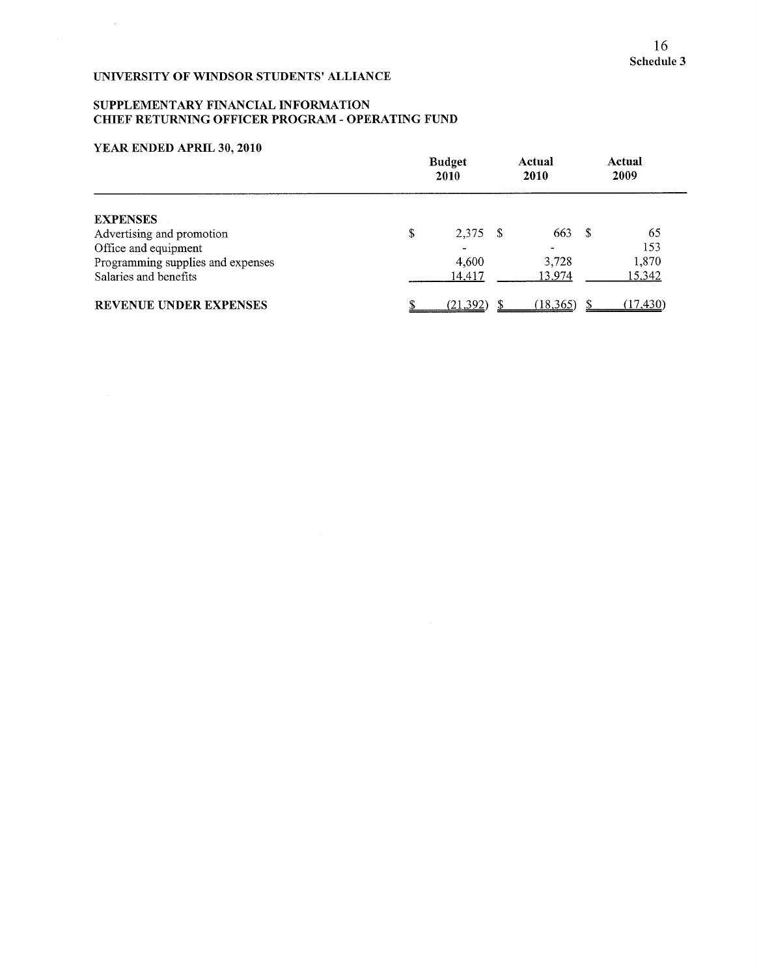# SUPPLEMENTARY FINANCIAL INFORMATION CHIEF RETURNING OFFICER PROGRAM - OPERATING FUND

# YEAR ENDED APRIL 30, 2010

 $\sim 10^{-1}$ 

|                                   | <b>Budget</b><br>2010 |  | Actual<br>2010 |      | Actual<br>2009 |
|-----------------------------------|-----------------------|--|----------------|------|----------------|
| <b>EXPENSES</b>                   |                       |  |                |      |                |
| Advertising and promotion         | \$<br>2,375 \$        |  | 663            | - \$ | 65             |
| Office and equipment              |                       |  |                |      | 153            |
| Programming supplies and expenses | 4,600                 |  | 3,728          |      | 1,870          |
| Salaries and benefits             | 14,417                |  | 13,974         |      | 15,342         |
| <b>REVENUE UNDER EXPENSES</b>     | (21, 392)             |  | (18, 365)      |      | (17, 430)      |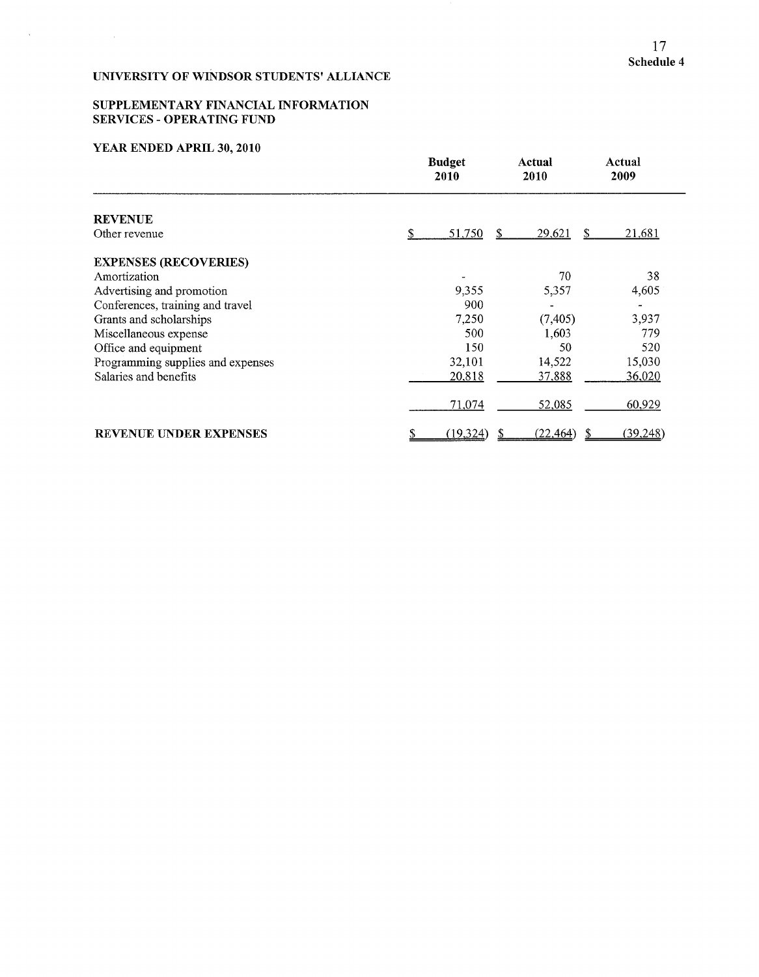### SUPPLEMENTARY FINANCIAL INFORMATION SERVICES **-** OPERATING FUND

# YEAR ENDED APRIL **30, 2010**

 $\label{eq:2.1} \frac{1}{2} \sum_{i=1}^n \frac{1}{2} \sum_{j=1}^n \frac{1}{2} \sum_{j=1}^n \frac{1}{2} \sum_{j=1}^n \frac{1}{2} \sum_{j=1}^n \frac{1}{2} \sum_{j=1}^n \frac{1}{2} \sum_{j=1}^n \frac{1}{2} \sum_{j=1}^n \frac{1}{2} \sum_{j=1}^n \frac{1}{2} \sum_{j=1}^n \frac{1}{2} \sum_{j=1}^n \frac{1}{2} \sum_{j=1}^n \frac{1}{2} \sum_{j=1}^n \frac{$ 

 $\sim 10^{-11}$ 

|                                   | <b>Budget</b><br>2010 | Actual<br>2010       | Actual<br>2009          |
|-----------------------------------|-----------------------|----------------------|-------------------------|
| <b>REVENUE</b>                    |                       |                      |                         |
| Other revenue                     | \$<br>51,750          | <u>29,621</u><br>\$. | 21,681<br><sup>\$</sup> |
| <b>EXPENSES (RECOVERIES)</b>      |                       |                      |                         |
| Amortization                      |                       | 70                   | 38                      |
| Advertising and promotion         | 9,355                 | 5,357                | 4,605                   |
| Conferences, training and travel  | 900                   |                      |                         |
| Grants and scholarships           | 7,250                 | (7, 405)             | 3,937                   |
| Miscellaneous expense             | 500                   | 1,603                | 779                     |
| Office and equipment              | 150                   | 50                   | 520                     |
| Programming supplies and expenses | 32,101                | 14,522               | 15,030                  |
| Salaries and benefits             | 20,818                | 37,888               | 36,020                  |
|                                   | 71,074                | 52,085               | 60,929                  |
| <b>REVENUE UNDER EXPENSES</b>     | (19,324)              | (22, 464)            | (39, 248)               |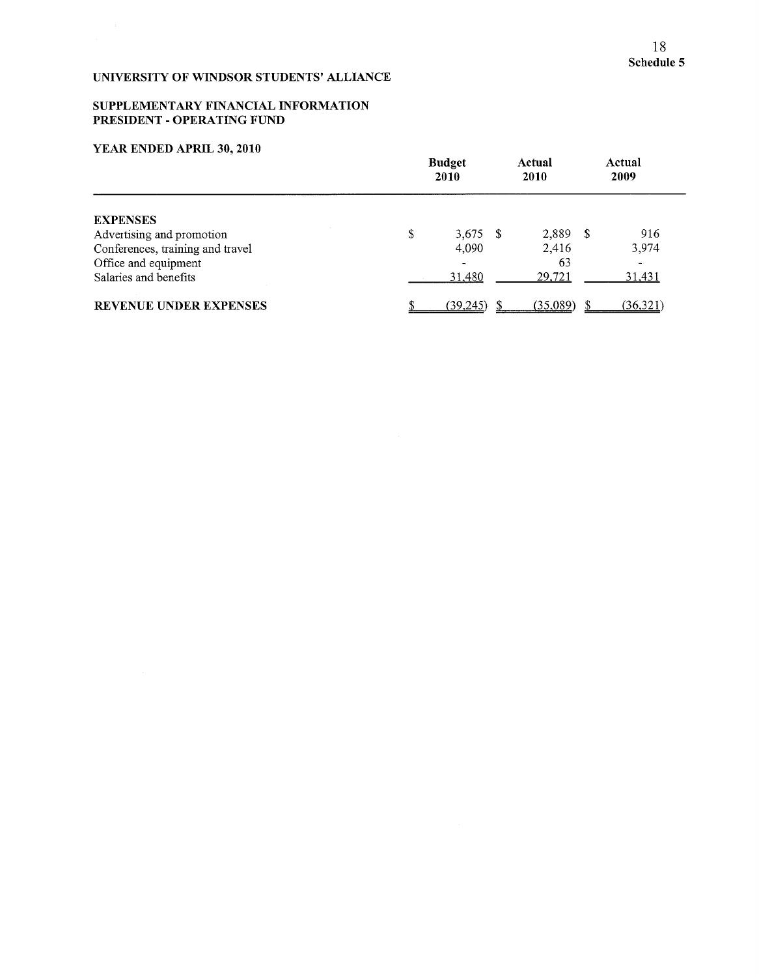### SUPPLEMENTARY FINANCIAL INFORMATION PRESIDENT **-** OPERATING FUND

# YEAR ENDED APRIL **30, 2010**

|                                  | <b>Budget</b><br>2010 |  | Actual<br><b>2010</b> |  | Actual<br>2009 |
|----------------------------------|-----------------------|--|-----------------------|--|----------------|
| <b>EXPENSES</b>                  |                       |  |                       |  |                |
| Advertising and promotion        | \$<br>3,675 \$        |  | 2,889 \$              |  | 916            |
| Conferences, training and travel | 4,090                 |  | 2,416                 |  | 3,974          |
| Office and equipment             |                       |  | 63                    |  |                |
| Salaries and benefits            | 31,480                |  | 29,721                |  | <u>31,431</u>  |
| <b>REVENUE UNDER EXPENSES</b>    | <u>(39,245)</u>       |  | (35.089)              |  | (36,321)       |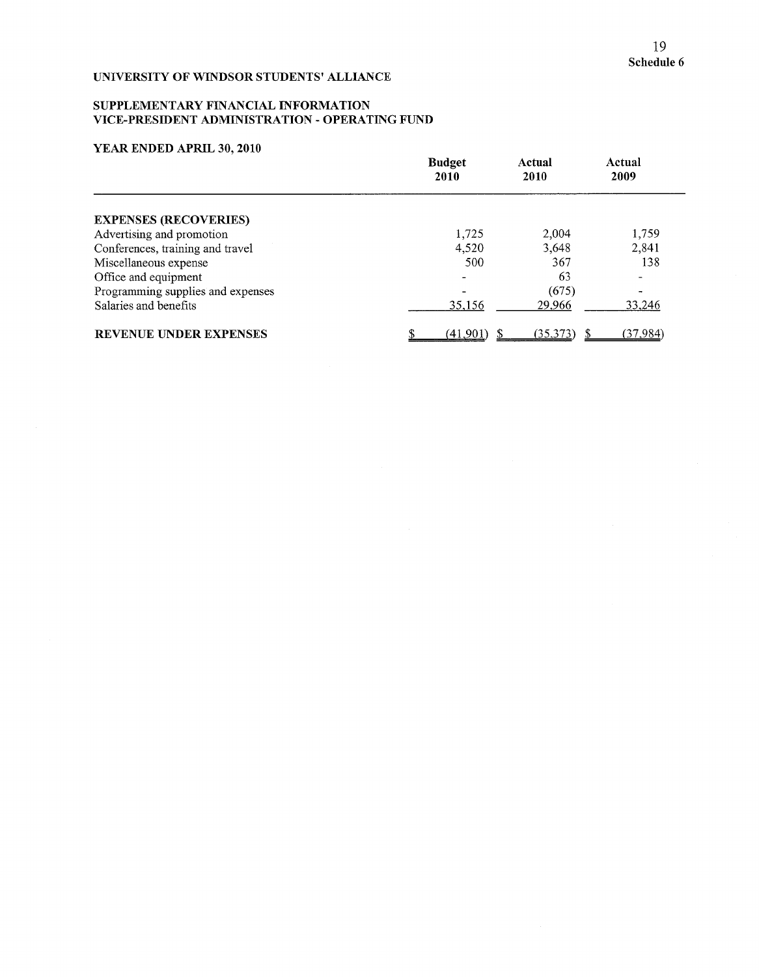### SUPPLEMENTARY FINANCIAL INFORMATION VICE-PRESIDENT ADMINISTRATION - OPERATING FUND

### YEAR ENDED APRIL 30, 2010

|                                   | <b>Budget</b><br>2010 | Actual<br>2010 | Actual<br>2009  |
|-----------------------------------|-----------------------|----------------|-----------------|
| <b>EXPENSES (RECOVERIES)</b>      |                       |                |                 |
| Advertising and promotion         | 1,725                 | 2,004          | 1,759           |
| Conferences, training and travel  | 4,520                 | 3,648          | 2,841           |
| Miscellaneous expense             | 500                   | 367            | 138             |
| Office and equipment              |                       | 63             |                 |
| Programming supplies and expenses |                       | (675)          |                 |
| Salaries and benefits             | 35,156                | 29,966         | 33,246          |
| <b>REVENUE UNDER EXPENSES</b>     | (41, 901)             | (35,373)       | <u>(37,984)</u> |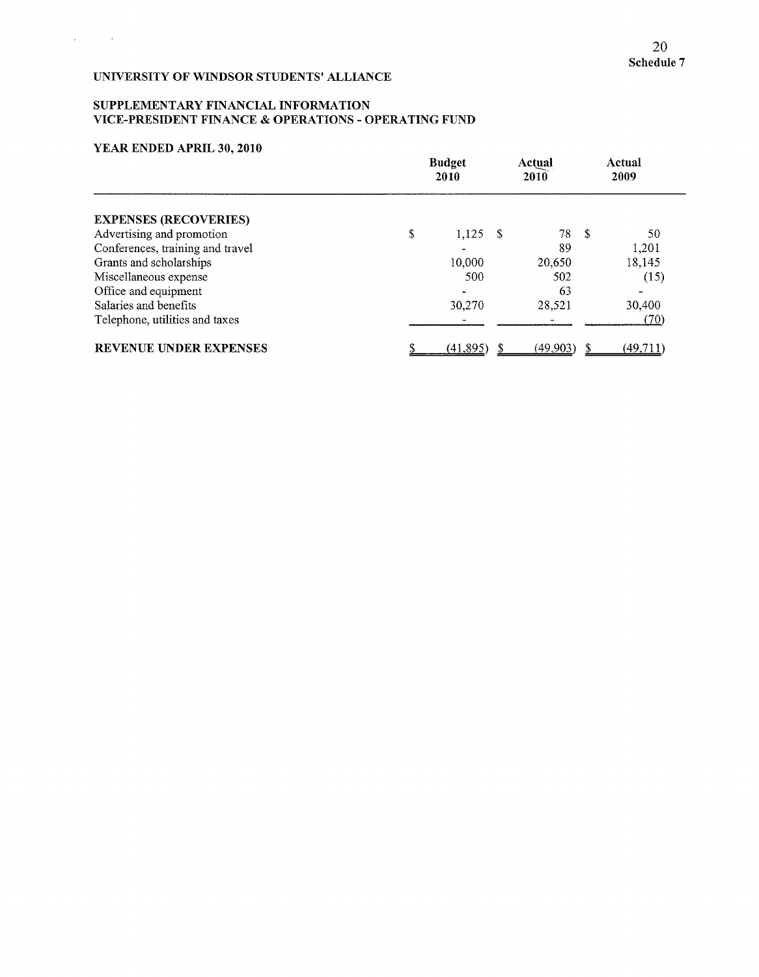### SUPPLEMENTARY FINANCIAL INFORMATION VICE-PRESIDENT FINANCE & OPERATIONS - OPERATING FUND

### YEAR ENDED APRIL 30, 2010

 $\mathcal{L}_{\mathcal{A}}$  , and  $\mathcal{L}_{\mathcal{A}}$ 

|                                  | <b>Budget</b><br>2010 |  | Actual<br>2010 | Actual<br>2009 |          |
|----------------------------------|-----------------------|--|----------------|----------------|----------|
| <b>EXPENSES (RECOVERIES)</b>     |                       |  |                |                |          |
| Advertising and promotion        | \$<br>$1,125$ \$      |  | 78 \$          |                | 50       |
| Conferences, training and travel |                       |  | 89             |                | 1,201    |
| Grants and scholarships          | 10,000                |  | 20,650         |                | 18,145   |
| Miscellaneous expense            | 500                   |  | 502            |                | (15)     |
| Office and equipment             |                       |  | 63             |                |          |
| Salaries and benefits            | 30,270                |  | 28,521         |                | 30,400   |
| Telephone, utilities and taxes   |                       |  |                |                | (70)     |
| <b>REVENUE UNDER EXPENSES</b>    | (41,895)              |  | (49.903)       |                | (49.711) |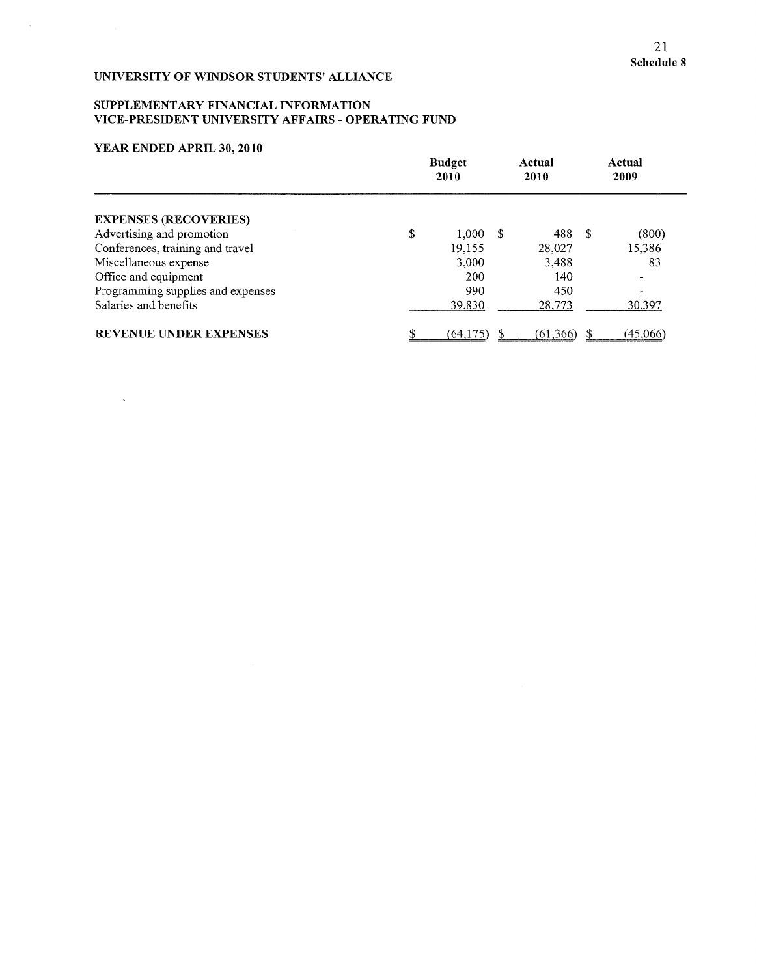### SUPPLEMENTARY FINANCIAL INFORMATION VICE-PRESIDENT UNIVERSITY AFFAIRS - OPERATING FUND

### YEAR ENDED APRIL 30, 2010

 $\sim$ 

 $\bar{a}$ 

|                                   | <b>Budget</b><br>2010 |  | Actual<br>2010 |     | Actual<br>2009  |  |
|-----------------------------------|-----------------------|--|----------------|-----|-----------------|--|
| <b>EXPENSES (RECOVERIES)</b>      |                       |  |                |     |                 |  |
| Advertising and promotion         | \$<br>1,000           |  | 488            | -\$ | (800)           |  |
| Conferences, training and travel  | 19,155                |  | 28,027         |     | 15,386          |  |
| Miscellaneous expense             | 3,000                 |  | 3,488          |     | 83              |  |
| Office and equipment              | 200                   |  | 140            |     |                 |  |
| Programming supplies and expenses | 990                   |  | 450            |     |                 |  |
| Salaries and benefits             | 39,830                |  | 28,773         |     | <u>30,397</u>   |  |
| <b>REVENUE UNDER EXPENSES</b>     | (64, 175)             |  | (61, 366)      |     | <u>(45,066)</u> |  |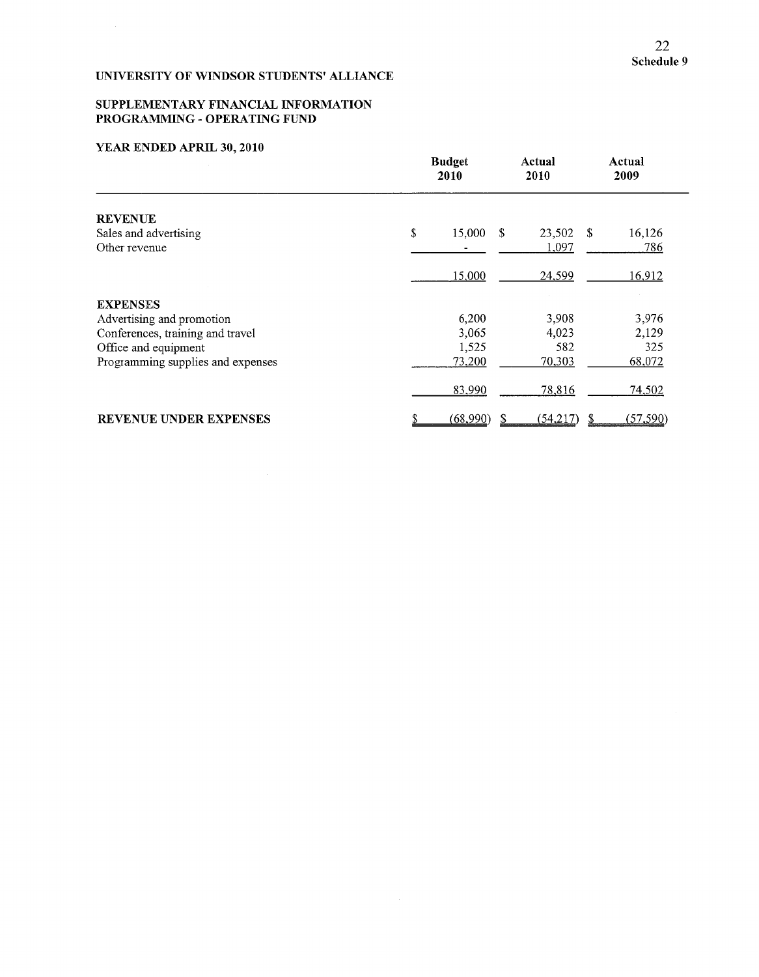### SUPPLEMENTARY FINANCIAL INFORMATION PROGRAMMING - OPERATING FUND

# YEAR ENDED APRIL **30, 2010**

|                                   | <b>Budget</b><br>2010 | Actual<br>2010 | Actual<br>2009 |
|-----------------------------------|-----------------------|----------------|----------------|
| <b>REVENUE</b>                    |                       |                |                |
| Sales and advertising             | \$<br>15,000          | S.<br>23,502   | 16,126<br>- \$ |
| Other revenue                     |                       | 1,097          | 786            |
|                                   | 15,000                | 24,599         | 16,912         |
| <b>EXPENSES</b>                   |                       |                |                |
| Advertising and promotion         | 6,200                 | 3,908          | 3,976          |
| Conferences, training and travel  | 3,065                 | 4,023          | 2,129          |
| Office and equipment              | 1,525                 | 582            | 325            |
| Programming supplies and expenses | 73,200                | 70,303         | 68,072         |
|                                   | 83,990                | 78,816         | 74,502         |
| <b>REVENUE UNDER EXPENSES</b>     | (68,990)              | (54,217)       | (57,590)       |

 $\sim$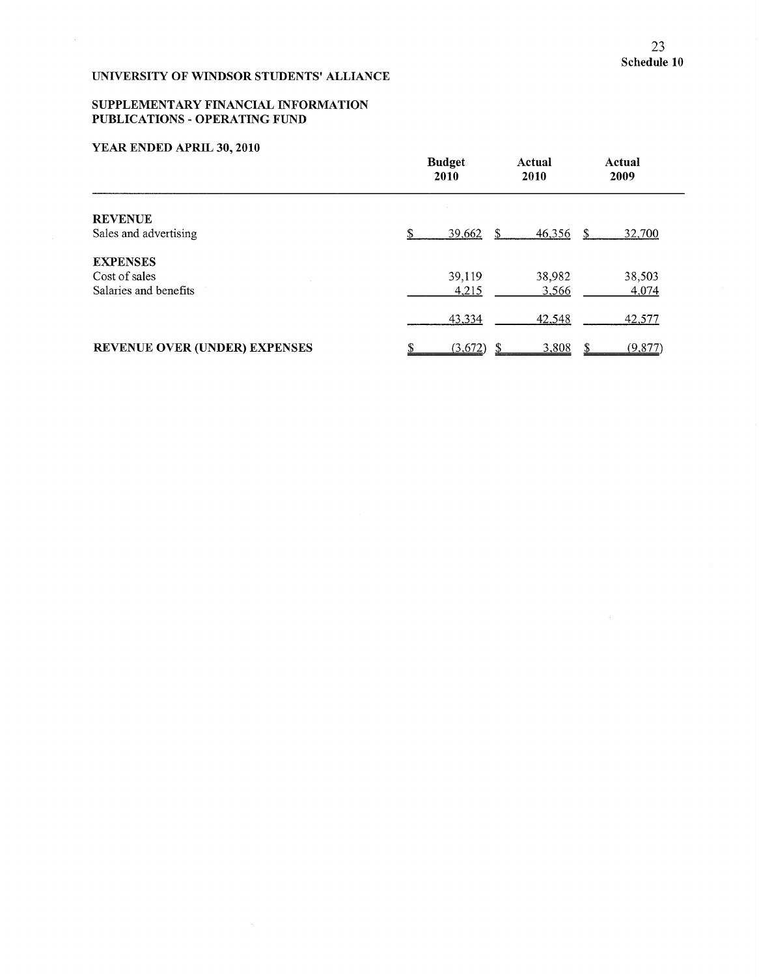$\sim$ 

# UNIVERSITY OF WINDSOR STUDENTS' ALLIANCE

 $\sim$ 

### SUPPLEMENTARY FINANCIAL INFORMATION PUBLICATIONS - OPERATING FUND

# YEAR ENDED APRIL 30, 2010

 $\bar{\mathcal{L}}$ 

|                                      | <b>Budget</b><br>2010 |   |        |    | Actual<br>2009 |
|--------------------------------------|-----------------------|---|--------|----|----------------|
| <b>REVENUE</b>                       |                       |   |        |    |                |
| Sales and advertising                | 39,662                | S | 46,356 | S. | 32,700         |
| <b>EXPENSES</b>                      |                       |   |        |    |                |
| Cost of sales                        | 39,119                |   | 38,982 |    | 38,503         |
| Salaries and benefits                | 4,215                 |   | 3,566  |    | 4,074          |
|                                      | 43,334                |   | 42,548 |    | 42,577         |
| <b>REVENUE OVER (UNDER) EXPENSES</b> | (3,672)               |   | 3,808  |    | (9,877)        |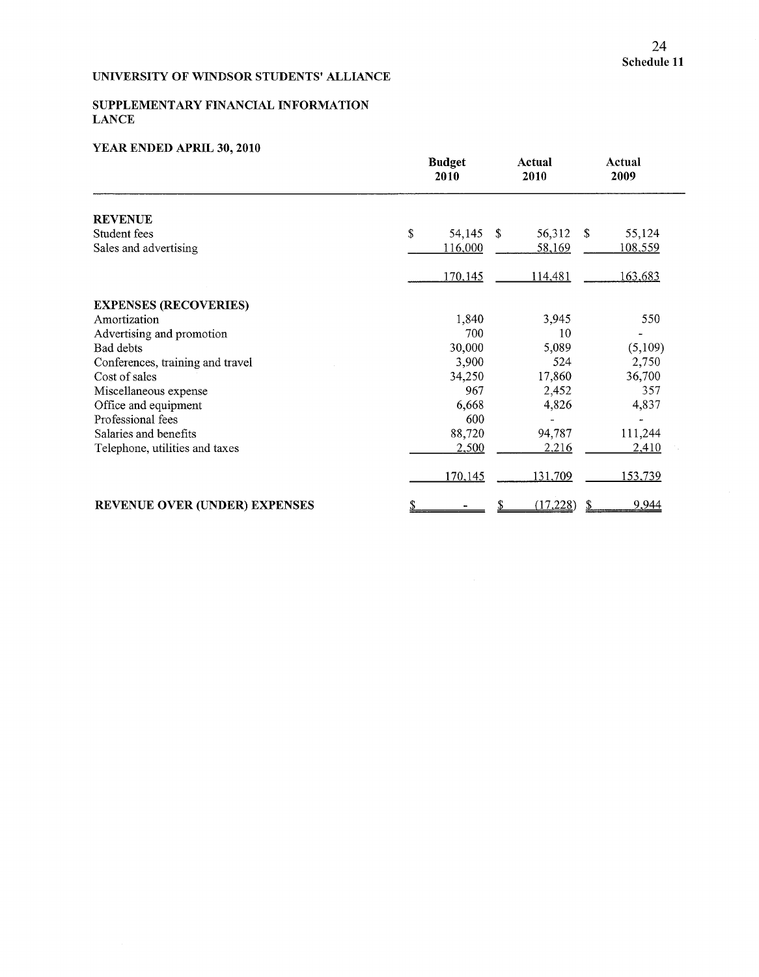# SUPPLEMENTARY FINANCIAL INFORMATION **LANCE**

# YEAR ENDED APRIL **30, 2010**

|                                      | <b>Budget</b><br>2010 | Actual<br>2010 | Actual<br>2009          |  |
|--------------------------------------|-----------------------|----------------|-------------------------|--|
| <b>REVENUE</b>                       |                       |                |                         |  |
| Student fees                         | \$<br>54,145          | 56,312<br>-S   | <sup>\$</sup><br>55,124 |  |
| Sales and advertising                | 116,000               | 58,169         | <u>108,559</u>          |  |
|                                      | 170,145               | 114,481        | 163,683                 |  |
| <b>EXPENSES (RECOVERIES)</b>         |                       |                |                         |  |
| Amortization                         | 1,840                 | 3,945          | 550                     |  |
| Advertising and promotion            | 700                   | 10             |                         |  |
| Bad debts                            | 30,000                | 5,089          | (5,109)                 |  |
| Conferences, training and travel     | 3,900                 | 524            | 2,750                   |  |
| Cost of sales                        | 34,250                | 17,860         | 36,700                  |  |
| Miscellaneous expense                | 967                   | 2,452          | 357                     |  |
| Office and equipment                 | 6,668                 | 4,826          | 4,837                   |  |
| Professional fees                    | 600                   |                |                         |  |
| Salaries and benefits                | 88,720                | 94,787         | 111,244                 |  |
| Telephone, utilities and taxes       | 2,500                 | 2,216          | 2,410                   |  |
|                                      | 170,145               | 131,709        | 153,739                 |  |
| <b>REVENUE OVER (UNDER) EXPENSES</b> |                       | (17,228)       | 9,944                   |  |